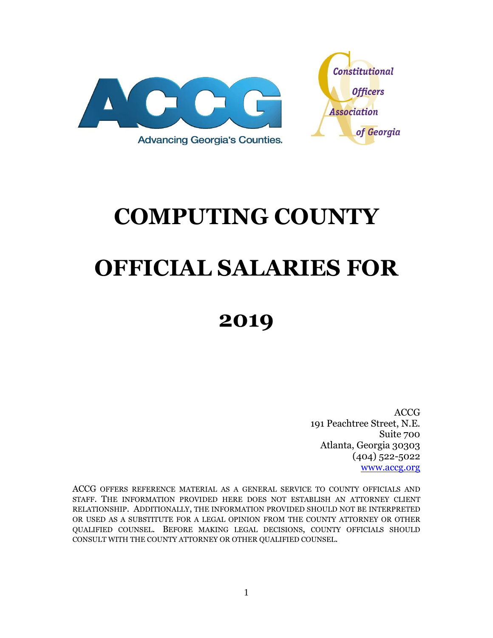



# **COMPUTING COUNTY OFFICIAL SALARIES FOR**

## **2019**

ACCG 191 Peachtree Street, N.E. Suite 700 Atlanta, Georgia 30303 (404) 522-5022 [www.accg.org](http://www.accg.org/)

ACCG OFFERS REFERENCE MATERIAL AS A GENERAL SERVICE TO COUNTY OFFICIALS AND STAFF. THE INFORMATION PROVIDED HERE DOES NOT ESTABLISH AN ATTORNEY CLIENT RELATIONSHIP. ADDITIONALLY, THE INFORMATION PROVIDED SHOULD NOT BE INTERPRETED OR USED AS A SUBSTITUTE FOR A LEGAL OPINION FROM THE COUNTY ATTORNEY OR OTHER QUALIFIED COUNSEL. BEFORE MAKING LEGAL DECISIONS, COUNTY OFFICIALS SHOULD CONSULT WITH THE COUNTY ATTORNEY OR OTHER QUALIFIED COUNSEL.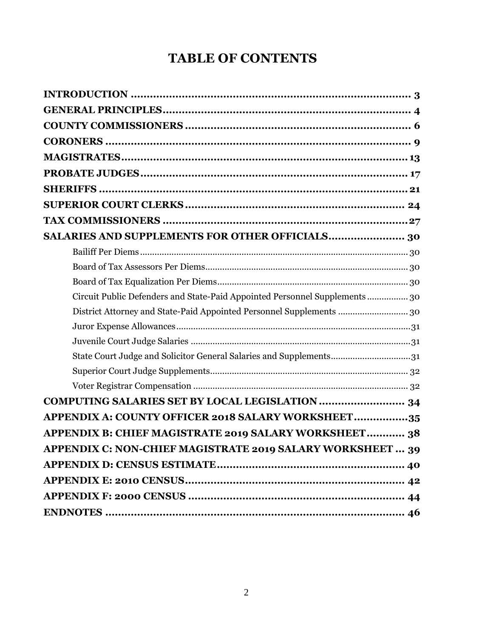## **TABLE OF CONTENTS**

| SALARIES AND SUPPLEMENTS FOR OTHER OFFICIALS 30                             |  |
|-----------------------------------------------------------------------------|--|
|                                                                             |  |
|                                                                             |  |
|                                                                             |  |
| Circuit Public Defenders and State-Paid Appointed Personnel Supplements  30 |  |
| District Attorney and State-Paid Appointed Personnel Supplements  30        |  |
|                                                                             |  |
|                                                                             |  |
| State Court Judge and Solicitor General Salaries and Supplements31          |  |
|                                                                             |  |
|                                                                             |  |
|                                                                             |  |
| APPENDIX A: COUNTY OFFICER 2018 SALARY WORKSHEET35                          |  |
| APPENDIX B: CHIEF MAGISTRATE 2019 SALARY WORKSHEET 38                       |  |
| APPENDIX C: NON-CHIEF MAGISTRATE 2019 SALARY WORKSHEET  39                  |  |
|                                                                             |  |
|                                                                             |  |
|                                                                             |  |
|                                                                             |  |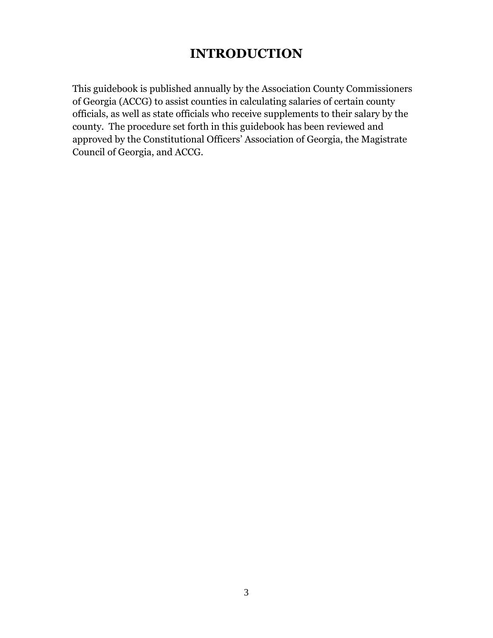## **INTRODUCTION**

<span id="page-2-0"></span>This guidebook is published annually by the Association County Commissioners of Georgia (ACCG) to assist counties in calculating salaries of certain county officials, as well as state officials who receive supplements to their salary by the county. The procedure set forth in this guidebook has been reviewed and approved by the Constitutional Officers' Association of Georgia, the Magistrate Council of Georgia, and ACCG.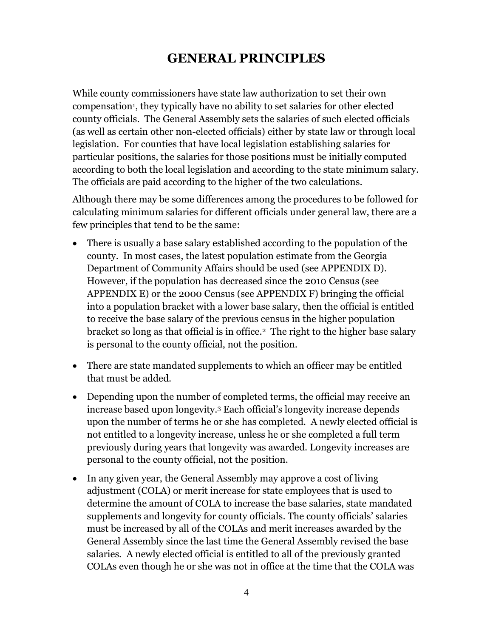## **GENERAL PRINCIPLES**

<span id="page-3-0"></span>While county commissioners have state law authorization to set their own compensation<sup>1</sup>, they typically have no ability to set salaries for other elected county officials. The General Assembly sets the salaries of such elected officials (as well as certain other non-elected officials) either by state law or through local legislation. For counties that have local legislation establishing salaries for particular positions, the salaries for those positions must be initially computed according to both the local legislation and according to the state minimum salary. The officials are paid according to the higher of the two calculations.

Although there may be some differences among the procedures to be followed for calculating minimum salaries for different officials under general law, there are a few principles that tend to be the same:

- There is usually a base salary established according to the population of the county. In most cases, the latest population estimate from the Georgia Department of Community Affairs should be used (see [APPENDIX D\)](#page-39-0). However, if the population has decreased since the 2010 Census (see [APPENDIX E\)](#page-41-0) or the 2000 Census (see [APPENDIX F\)](#page-43-1) bringing the official into a population bracket with a lower base salary, then the official is entitled to receive the base salary of the previous census in the higher population bracket so long as that official is in office.2 The right to the higher base salary is personal to the county official, not the position.
- There are state mandated supplements to which an officer may be entitled that must be added.
- Depending upon the number of completed terms, the official may receive an increase based upon longevity.<sup>3</sup> Each official's longevity increase depends upon the number of terms he or she has completed. A newly elected official is not entitled to a longevity increase, unless he or she completed a full term previously during years that longevity was awarded. Longevity increases are personal to the county official, not the position.
- In any given year, the General Assembly may approve a cost of living adjustment (COLA) or merit increase for state employees that is used to determine the amount of COLA to increase the base salaries, state mandated supplements and longevity for county officials. The county officials' salaries must be increased by all of the COLAs and merit increases awarded by the General Assembly since the last time the General Assembly revised the base salaries. A newly elected official is entitled to all of the previously granted COLAs even though he or she was not in office at the time that the COLA was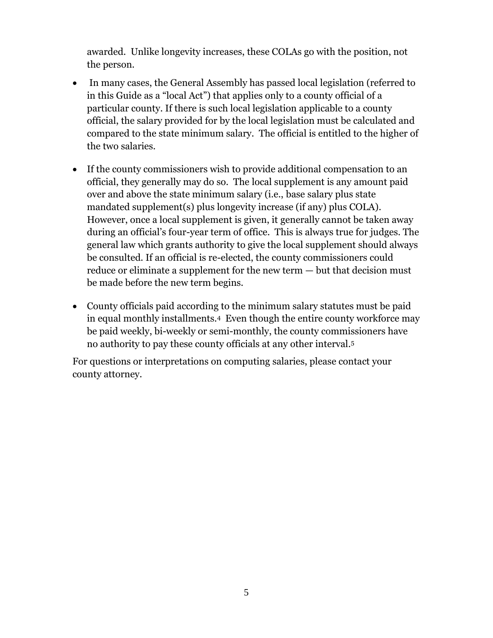awarded. Unlike longevity increases, these COLAs go with the position, not the person.

- In many cases, the General Assembly has passed local legislation (referred to in this Guide as a "local Act") that applies only to a county official of a particular county. If there is such local legislation applicable to a county official, the salary provided for by the local legislation must be calculated and compared to the state minimum salary. The official is entitled to the higher of the two salaries.
- If the county commissioners wish to provide additional compensation to an official, they generally may do so. The local supplement is any amount paid over and above the state minimum salary (i.e., base salary plus state mandated supplement(s) plus longevity increase (if any) plus COLA). However, once a local supplement is given, it generally cannot be taken away during an official's four-year term of office. This is always true for judges. The general law which grants authority to give the local supplement should always be consulted. If an official is re-elected, the county commissioners could reduce or eliminate a supplement for the new term — but that decision must be made before the new term begins.
- County officials paid according to the minimum salary statutes must be paid in equal monthly installments.4 Even though the entire county workforce may be paid weekly, bi-weekly or semi-monthly, the county commissioners have no authority to pay these county officials at any other interval.<sup>5</sup>

For questions or interpretations on computing salaries, please contact your county attorney.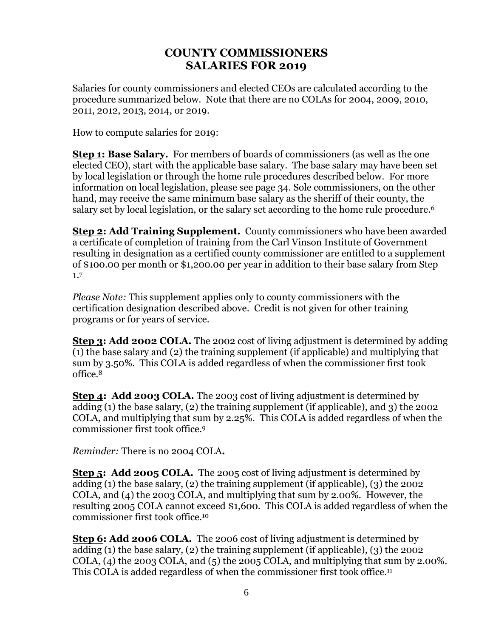## **COUNTY COMMISSIONERS SALARIES FOR 2019**

<span id="page-5-0"></span>Salaries for county commissioners and elected CEOs are calculated according to the procedure summarized below. Note that there are no COLAs for 2004, 2009, 2010, 2011, 2012, 2013, 2014, or 2019.

How to compute salaries for 2019:

**Step 1: Base Salary.** For members of boards of commissioners (as well as the one elected CEO), start with the applicable base salary. The base salary may have been set by local legislation or through the home rule procedures described below. For more information on local legislation, please see page 34. Sole commissioners, on the other hand, may receive the same minimum base salary as the sheriff of their county, the salary set by local legislation, or the salary set according to the home rule procedure.<sup>6</sup>

**Step 2: Add Training Supplement.** County commissioners who have been awarded a certificate of completion of training from the Carl Vinson Institute of Government resulting in designation as a certified county commissioner are entitled to a supplement of \$100.00 per month or \$1,200.00 per year in addition to their base salary from Step 1.<sup>7</sup>

*Please Note:* This supplement applies only to county commissioners with the certification designation described above. Credit is not given for other training programs or for years of service.

**Step 3: Add 2002 COLA.** The 2002 cost of living adjustment is determined by adding (1) the base salary and (2) the training supplement (if applicable) and multiplying that sum by 3.50%. This COLA is added regardless of when the commissioner first took office. 8

**Step 4: Add 2003 COLA.** The 2003 cost of living adjustment is determined by adding (1) the base salary, (2) the training supplement (if applicable), and 3) the 2002 COLA, and multiplying that sum by 2.25%. This COLA is added regardless of when the commissioner first took office.<sup>9</sup>

*Reminder:* There is no 2004 COLA**.** 

**Step 5: Add 2005 COLA.** The 2005 cost of living adjustment is determined by adding (1) the base salary, (2) the training supplement (if applicable), (3) the 2002 COLA, and (4) the 2003 COLA, and multiplying that sum by 2.00%. However, the resulting 2005 COLA cannot exceed \$1,600. This COLA is added regardless of when the commissioner first took office.<sup>10</sup>

**Step 6: Add 2006 COLA.** The 2006 cost of living adjustment is determined by adding (1) the base salary, (2) the training supplement (if applicable), (3) the 2002 COLA,  $(4)$  the 2003 COLA, and  $(5)$  the 2005 COLA, and multiplying that sum by 2.00%. This COLA is added regardless of when the commissioner first took office.<sup>11</sup>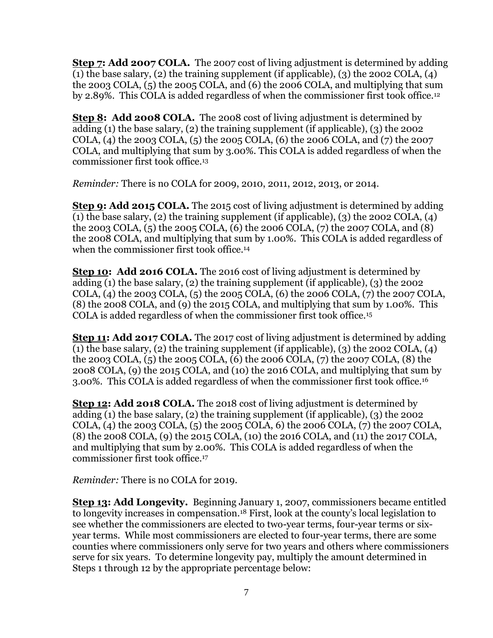**Step 7: Add 2007 COLA.** The 2007 cost of living adjustment is determined by adding (1) the base salary, (2) the training supplement (if applicable), (3) the 2002 COLA, (4) the 2003 COLA, (5) the 2005 COLA, and (6) the 2006 COLA, and multiplying that sum by 2.89%. This COLA is added regardless of when the commissioner first took office.<sup>12</sup>

**Step 8: Add 2008 COLA.** The 2008 cost of living adjustment is determined by adding (1) the base salary, (2) the training supplement (if applicable), (3) the 2002 COLA, (4) the 2003 COLA, (5) the 2005 COLA, (6) the 2006 COLA, and (7) the 2007 COLA, and multiplying that sum by 3.00%. This COLA is added regardless of when the commissioner first took office.<sup>13</sup>

*Reminder:* There is no COLA for 2009, 2010, 2011, 2012, 2013, or 2014.

**Step 9: Add 2015 COLA.** The 2015 cost of living adjustment is determined by adding (1) the base salary, (2) the training supplement (if applicable), (3) the 2002 COLA, (4) the 2003 COLA, (5) the 2005 COLA, (6) the 2006 COLA, (7) the 2007 COLA, and (8) the 2008 COLA, and multiplying that sum by 1.00%. This COLA is added regardless of when the commissioner first took office.<sup>14</sup>

**Step 10: Add 2016 COLA.** The 2016 cost of living adjustment is determined by adding (1) the base salary, (2) the training supplement (if applicable), (3) the 2002 COLA, (4) the 2003 COLA, (5) the 2005 COLA, (6) the 2006 COLA, (7) the 2007 COLA, (8) the 2008 COLA, and (9) the 2015 COLA, and multiplying that sum by 1.00%. This COLA is added regardless of when the commissioner first took office.<sup>15</sup>

**Step 11: Add 2017 COLA.** The 2017 cost of living adjustment is determined by adding (1) the base salary, (2) the training supplement (if applicable), (3) the 2002 COLA, (4) the 2003 COLA, (5) the 2005 COLA, (6) the 2006 COLA, (7) the 2007 COLA, (8) the 2008 COLA, (9) the 2015 COLA, and (10) the 2016 COLA, and multiplying that sum by 3.00%. This COLA is added regardless of when the commissioner first took office.<sup>16</sup>

**Step 12: Add 2018 COLA.** The 2018 cost of living adjustment is determined by adding (1) the base salary, (2) the training supplement (if applicable), (3) the 2002 COLA, (4) the 2003 COLA, (5) the 2005 COLA, 6) the 2006 COLA, (7) the 2007 COLA, (8) the 2008 COLA, (9) the 2015 COLA, (10) the 2016 COLA, and (11) the 2017 COLA, and multiplying that sum by 2.00%. This COLA is added regardless of when the commissioner first took office.<sup>17</sup>

*Reminder:* There is no COLA for 2019.

**Step 13: Add Longevity.** Beginning January 1, 2007, commissioners became entitled to longevity increases in compensation.<sup>18</sup> First, look at the county's local legislation to see whether the commissioners are elected to two-year terms, four-year terms or sixyear terms. While most commissioners are elected to four-year terms, there are some counties where commissioners only serve for two years and others where commissioners serve for six years. To determine longevity pay, multiply the amount determined in Steps 1 through 12 by the appropriate percentage below: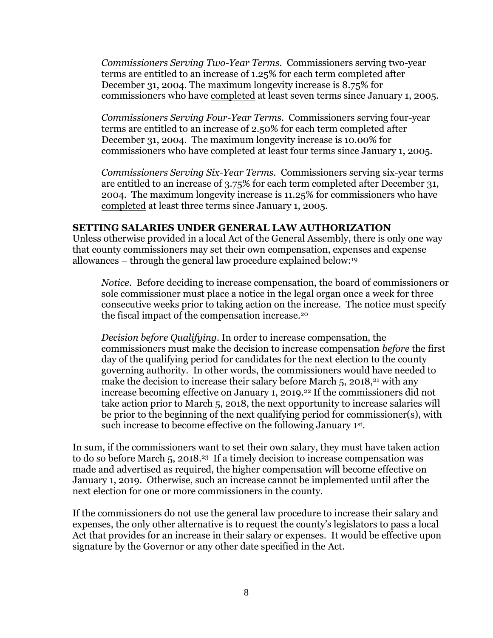*Commissioners Serving Two-Year Terms.* Commissioners serving two-year terms are entitled to an increase of 1.25% for each term completed after December 31, 2004. The maximum longevity increase is 8.75% for commissioners who have completed at least seven terms since January 1, 2005.

*Commissioners Serving Four-Year Terms.* Commissioners serving four-year terms are entitled to an increase of 2.50% for each term completed after December 31, 2004. The maximum longevity increase is 10.00% for commissioners who have completed at least four terms since January 1, 2005.

*Commissioners Serving Six-Year Terms.* Commissioners serving six-year terms are entitled to an increase of 3.75% for each term completed after December 31, 2004. The maximum longevity increase is 11.25% for commissioners who have completed at least three terms since January 1, 2005.

#### **SETTING SALARIES UNDER GENERAL LAW AUTHORIZATION**

Unless otherwise provided in a local Act of the General Assembly, there is only one way that county commissioners may set their own compensation, expenses and expense allowances – through the general law procedure explained below:<sup>19</sup>

*Notice.* Before deciding to increase compensation, the board of commissioners or sole commissioner must place a notice in the legal organ once a week for three consecutive weeks prior to taking action on the increase. The notice must specify the fiscal impact of the compensation increase.<sup>20</sup>

*Decision before Qualifying.* In order to increase compensation, the commissioners must make the decision to increase compensation *before* the first day of the qualifying period for candidates for the next election to the county governing authority. In other words, the commissioners would have needed to make the decision to increase their salary before March 5, 2018,<sup>21</sup> with any increase becoming effective on January 1, 2019.<sup>22</sup> If the commissioners did not take action prior to March 5, 2018, the next opportunity to increase salaries will be prior to the beginning of the next qualifying period for commissioner(s), with such increase to become effective on the following January 1st .

In sum, if the commissioners want to set their own salary, they must have taken action to do so before March 5, 2018. <sup>23</sup> If a timely decision to increase compensation was made and advertised as required, the higher compensation will become effective on January 1, 2019. Otherwise, such an increase cannot be implemented until after the next election for one or more commissioners in the county.

If the commissioners do not use the general law procedure to increase their salary and expenses, the only other alternative is to request the county's legislators to pass a local Act that provides for an increase in their salary or expenses. It would be effective upon signature by the Governor or any other date specified in the Act.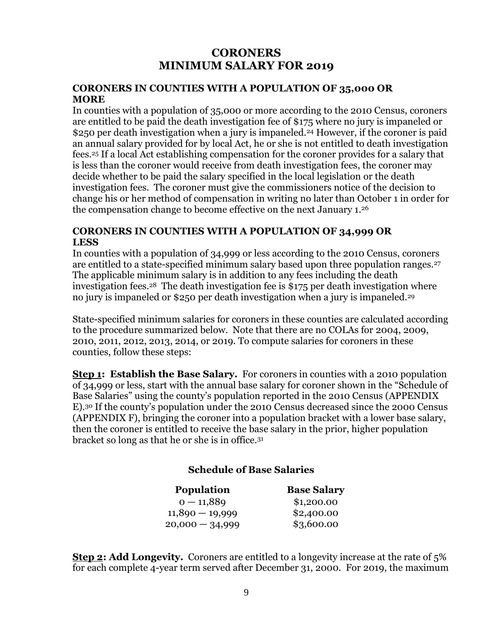## **CORONERS MINIMUM SALARY FOR 2019**

#### <span id="page-8-0"></span>**CORONERS IN COUNTIES WITH A POPULATION OF 35,000 OR MORE**

In counties with a population of 35,000 or more according to the 2010 Census, coroners are entitled to be paid the death investigation fee of \$175 where no jury is impaneled or \$250 per death investigation when a jury is impaneled.<sup>24</sup> However, if the coroner is paid an annual salary provided for by local Act, he or she is not entitled to death investigation fees.<sup>25</sup> If a local Act establishing compensation for the coroner provides for a salary that is less than the coroner would receive from death investigation fees, the coroner may decide whether to be paid the salary specified in the local legislation or the death investigation fees. The coroner must give the commissioners notice of the decision to change his or her method of compensation in writing no later than October 1 in order for the compensation change to become effective on the next January 1. 26

#### **CORONERS IN COUNTIES WITH A POPULATION OF 34,999 OR LESS**

In counties with a population of 34,999 or less according to the 2010 Census, coroners are entitled to a state-specified minimum salary based upon three population ranges.<sup>27</sup> The applicable minimum salary is in addition to any fees including the death investigation fees.28 The death investigation fee is \$175 per death investigation where no jury is impaneled or \$250 per death investigation when a jury is impaneled.<sup>29</sup>

State-specified minimum salaries for coroners in these counties are calculated according to the procedure summarized below. Note that there are no COLAs for 2004, 2009, 2010, 2011, 2012, 2013, 2014, or 2019. To compute salaries for coroners in these counties, follow these steps:

**Step 1: Establish the Base Salary.** For coroners in counties with a 2010 population of 34,999 or less, start with the annual base salary for coroner shown in the "Schedule of Base Salaries" using the county's population reported in the 2010 Census [\(APPENDIX](#page-41-0)  [E\)](#page-41-0). <sup>30</sup> If the county's population under the 2010 Census decreased since the 2000 Census [\(APPENDIX F\)](#page-43-1), bringing the coroner into a population bracket with a lower base salary, then the coroner is entitled to receive the base salary in the prior, higher population bracket so long as that he or she is in office.<sup>31</sup>

## **Schedule of Base Salaries**

| <b>Base Salary</b> |
|--------------------|
| \$1,200.00         |
| \$2,400.00         |
| \$3,600.00         |
|                    |

**Step 2: Add Longevity.** Coroners are entitled to a longevity increase at the rate of 5% for each complete 4-year term served after December 31, 2000. For 2019, the maximum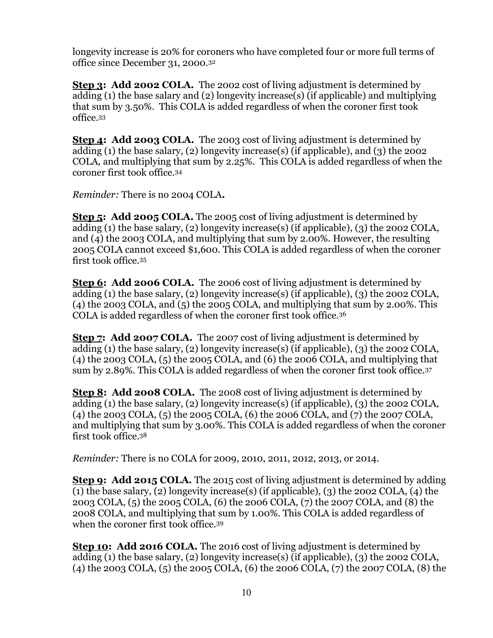longevity increase is 20% for coroners who have completed four or more full terms of office since December 31, 2000. 32

**Step 3: Add 2002 COLA.** The 2002 cost of living adjustment is determined by adding (1) the base salary and (2) longevity increase(s) (if applicable) and multiplying that sum by 3.50%. This COLA is added regardless of when the coroner first took office.<sup>33</sup>

**Step 4: Add 2003 COLA.** The 2003 cost of living adjustment is determined by adding (1) the base salary, (2) longevity increase(s) (if applicable), and (3) the 2002 COLA, and multiplying that sum by 2.25%. This COLA is added regardless of when the coroner first took office.<sup>34</sup>

*Reminder:* There is no 2004 COLA**.** 

**Step 5: Add 2005 COLA.** The 2005 cost of living adjustment is determined by adding (1) the base salary, (2) longevity increase(s) (if applicable), (3) the 2002 COLA, and (4) the 2003 COLA, and multiplying that sum by 2.00%. However, the resulting 2005 COLA cannot exceed \$1,600. This COLA is added regardless of when the coroner first took office.<sup>35</sup>

**Step 6: Add 2006 COLA.** The 2006 cost of living adjustment is determined by adding (1) the base salary, (2) longevity increase(s) (if applicable), (3) the 2002 COLA,  $(4)$  the 2003 COLA, and  $(5)$  the 2005 COLA, and multiplying that sum by 2.00%. This COLA is added regardless of when the coroner first took office.<sup>36</sup>

**Step 7: Add 2007 COLA.** The 2007 cost of living adjustment is determined by adding (1) the base salary, (2) longevity increase(s) (if applicable), (3) the 2002 COLA,  $(4)$  the 2003 COLA,  $(5)$  the 2005 COLA, and  $(6)$  the 2006 COLA, and multiplying that sum by 2.89%. This COLA is added regardless of when the coroner first took office.<sup>37</sup>

**Step 8: Add 2008 COLA.** The 2008 cost of living adjustment is determined by adding (1) the base salary, (2) longevity increase(s) (if applicable), (3) the 2002 COLA, (4) the 2003 COLA, (5) the 2005 COLA, (6) the 2006 COLA, and (7) the 2007 COLA, and multiplying that sum by 3.00%. This COLA is added regardless of when the coroner first took office.<sup>38</sup>

*Reminder:* There is no COLA for 2009, 2010, 2011, 2012, 2013, or 2014.

**Step 9: Add 2015 COLA.** The 2015 cost of living adjustment is determined by adding (1) the base salary, (2) longevity increase(s) (if applicable), (3) the 2002 COLA, (4) the 2003 COLA, (5) the 2005 COLA, (6) the 2006 COLA, (7) the 2007 COLA, and (8) the 2008 COLA, and multiplying that sum by 1.00%. This COLA is added regardless of when the coroner first took office.<sup>39</sup>

**Step 10: Add 2016 COLA.** The 2016 cost of living adjustment is determined by adding (1) the base salary, (2) longevity increase(s) (if applicable), (3) the 2002 COLA, (4) the 2003 COLA, (5) the 2005 COLA, (6) the 2006 COLA, (7) the 2007 COLA, (8) the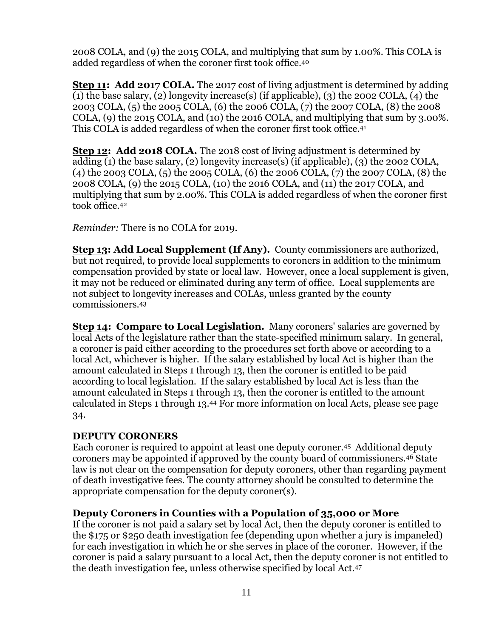2008 COLA, and (9) the 2015 COLA, and multiplying that sum by 1.00%. This COLA is added regardless of when the coroner first took office.<sup>40</sup>

**Step 11: Add 2017 COLA.** The 2017 cost of living adjustment is determined by adding (1) the base salary, (2) longevity increase(s) (if applicable), (3) the 2002 COLA, (4) the 2003 COLA, (5) the 2005 COLA, (6) the 2006 COLA, (7) the 2007 COLA, (8) the 2008 COLA, (9) the 2015 COLA, and (10) the 2016 COLA, and multiplying that sum by 3.00%. This COLA is added regardless of when the coroner first took office.<sup>41</sup>

**Step 12: Add 2018 COLA.** The 2018 cost of living adjustment is determined by adding (1) the base salary, (2) longevity increase(s) (if applicable), (3) the 2002 COLA, (4) the 2003 COLA, (5) the 2005 COLA, (6) the 2006 COLA, (7) the 2007 COLA, (8) the 2008 COLA, (9) the 2015 COLA, (10) the 2016 COLA, and (11) the 2017 COLA, and multiplying that sum by 2.00%. This COLA is added regardless of when the coroner first took office.<sup>42</sup>

*Reminder:* There is no COLA for 2019.

**Step 13: Add Local Supplement (If Any).** County commissioners are authorized, but not required, to provide local supplements to coroners in addition to the minimum compensation provided by state or local law. However, once a local supplement is given, it may not be reduced or eliminated during any term of office. Local supplements are not subject to longevity increases and COLAs, unless granted by the county commissioners.<sup>43</sup>

**Step 14: Compare to Local Legislation.** Many coroners' salaries are governed by local Acts of the legislature rather than the state-specified minimum salary. In general, a coroner is paid either according to the procedures set forth above or according to a local Act, whichever is higher. If the salary established by local Act is higher than the amount calculated in Steps 1 through 13, then the coroner is entitled to be paid according to local legislation. If the salary established by local Act is less than the amount calculated in Steps 1 through 13, then the coroner is entitled to the amount calculated in Steps 1 through 13. <sup>44</sup> For more information on local Acts, please see page 34.

## **DEPUTY CORONERS**

Each coroner is required to appoint at least one deputy coroner.45 Additional deputy coroners may be appointed if approved by the county board of commissioners. <sup>46</sup> State law is not clear on the compensation for deputy coroners, other than regarding payment of death investigative fees. The county attorney should be consulted to determine the appropriate compensation for the deputy coroner(s).

#### **Deputy Coroners in Counties with a Population of 35,000 or More**

If the coroner is not paid a salary set by local Act, then the deputy coroner is entitled to the \$175 or \$250 death investigation fee (depending upon whether a jury is impaneled) for each investigation in which he or she serves in place of the coroner. However, if the coroner is paid a salary pursuant to a local Act, then the deputy coroner is not entitled to the death investigation fee, unless otherwise specified by local Act. 47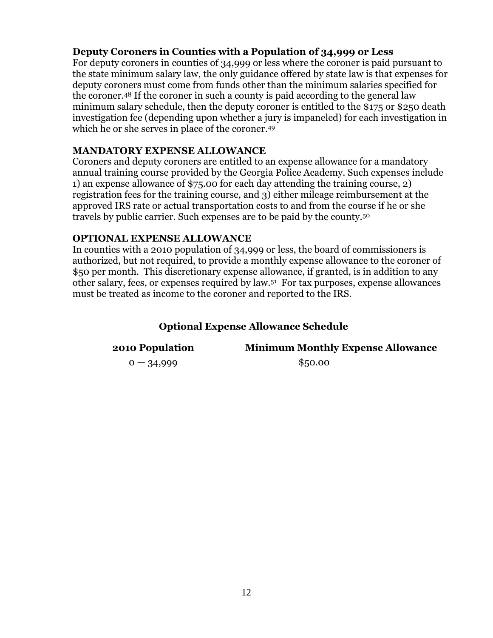## **Deputy Coroners in Counties with a Population of 34,999 or Less**

For deputy coroners in counties of 34,999 or less where the coroner is paid pursuant to the state minimum salary law, the only guidance offered by state law is that expenses for deputy coroners must come from funds other than the minimum salaries specified for the coroner. <sup>48</sup> If the coroner in such a county is paid according to the general law minimum salary schedule, then the deputy coroner is entitled to the \$175 or \$250 death investigation fee (depending upon whether a jury is impaneled) for each investigation in which he or she serves in place of the coroner.<sup>49</sup>

#### **MANDATORY EXPENSE ALLOWANCE**

Coroners and deputy coroners are entitled to an expense allowance for a mandatory annual training course provided by the Georgia Police Academy. Such expenses include 1) an expense allowance of \$75.00 for each day attending the training course, 2) registration fees for the training course, and 3) either mileage reimbursement at the approved IRS rate or actual transportation costs to and from the course if he or she travels by public carrier. Such expenses are to be paid by the county.<sup>50</sup>

#### **OPTIONAL EXPENSE ALLOWANCE**

In counties with a 2010 population of 34,999 or less, the board of commissioners is authorized, but not required, to provide a monthly expense allowance to the coroner of \$50 per month. This discretionary expense allowance, if granted, is in addition to any other salary, fees, or expenses required by law.<sup>51</sup> For tax purposes, expense allowances must be treated as income to the coroner and reported to the IRS.

## **Optional Expense Allowance Schedule**

**2010 Population Minimum Monthly Expense Allowance**

 $0 - 34,999$  \$50.00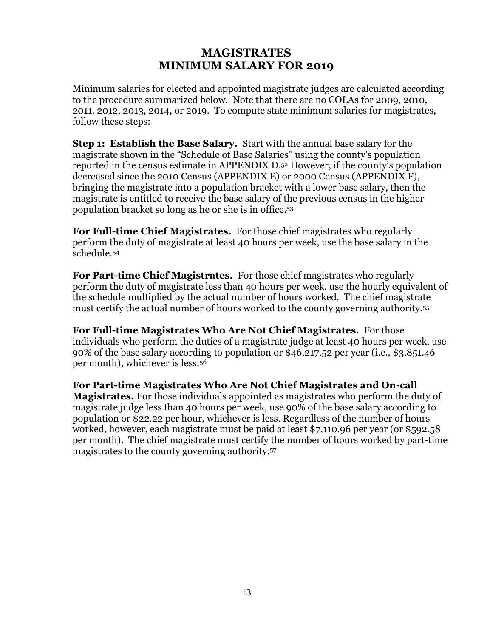## **MAGISTRATES MINIMUM SALARY FOR 2019**

<span id="page-12-0"></span>Minimum salaries for elected and appointed magistrate judges are calculated according to the procedure summarized below. Note that there are no COLAs for 2009, 2010, 2011, 2012, 2013, 2014, or 2019. To compute state minimum salaries for magistrates, follow these steps:

**Step 1: Establish the Base Salary.** Start with the annual base salary for the magistrate shown in the "Schedule of Base Salaries" using the county's population reported in the census estimate in [APPENDIX D.](#page-39-0) <sup>52</sup> However, if the county's population decreased since the 2010 Census [\(APPENDIX E\)](#page-41-0) or 2000 Census [\(APPENDIX F\)](#page-43-1), bringing the magistrate into a population bracket with a lower base salary, then the magistrate is entitled to receive the base salary of the previous census in the higher population bracket so long as he or she is in office.<sup>53</sup>

**For Full-time Chief Magistrates.** For those chief magistrates who regularly perform the duty of magistrate at least 40 hours per week, use the base salary in the schedule.<sup>54</sup>

**For Part-time Chief Magistrates.** For those chief magistrates who regularly perform the duty of magistrate less than 40 hours per week, use the hourly equivalent of the schedule multiplied by the actual number of hours worked. The chief magistrate must certify the actual number of hours worked to the county governing authority.<sup>55</sup>

**For Full-time Magistrates Who Are Not Chief Magistrates.** For those individuals who perform the duties of a magistrate judge at least 40 hours per week, use 90% of the base salary according to population or \$46,217.52 per year (i.e., \$3,851.46 per month), whichever is less.<sup>56</sup>

**For Part-time Magistrates Who Are Not Chief Magistrates and On-call Magistrates.** For those individuals appointed as magistrates who perform the duty of magistrate judge less than 40 hours per week, use 90% of the base salary according to population or \$22.22 per hour, whichever is less. Regardless of the number of hours worked, however, each magistrate must be paid at least \$7,110.96 per year (or \$592.58 per month). The chief magistrate must certify the number of hours worked by part-time magistrates to the county governing authority.57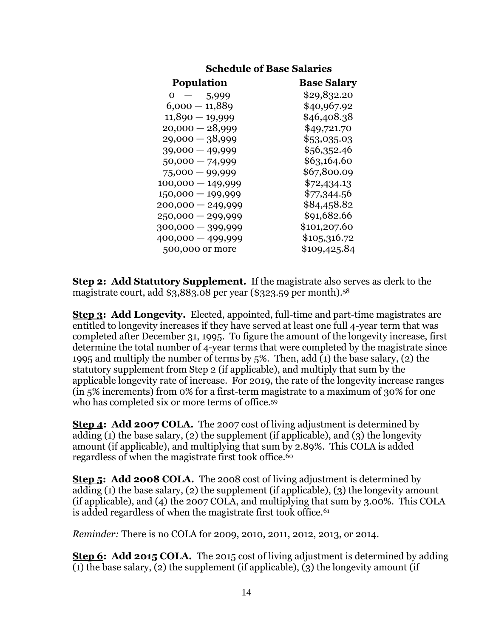| <b>Schedule of Base Salaries</b> |                    |  |
|----------------------------------|--------------------|--|
| <b>Population</b>                | <b>Base Salary</b> |  |
| $\sim$ $-$<br>5,999<br>0         | \$29,832.20        |  |
| $6,000 - 11,889$                 | \$40,967.92        |  |
| $11,890 - 19,999$                | \$46,408.38        |  |
| $20,000 - 28,999$                | \$49,721.70        |  |
| $29,000 - 38,999$                | \$53,035.03        |  |
| $39,000 - 49,999$                | \$56,352.46        |  |
| $50,000 - 74,999$                | \$63,164.60        |  |
| $75,000 - 99,999$                | \$67,800.09        |  |
| $100,000 - 149,999$              | \$72,434.13        |  |
| $150,000 - 199,999$              | \$77,344.56        |  |
| $200,000 - 249,999$              | \$84,458.82        |  |
| $250,000 - 299,999$              | \$91,682.66        |  |
| 300,000 - 399,999                | \$101,207.60       |  |
| 400,000 - 499,999                | \$105,316.72       |  |
| 500,000 or more                  | \$109,425.84       |  |
|                                  |                    |  |

**Step 2: Add Statutory Supplement.** If the magistrate also serves as clerk to the magistrate court, add \$3,883.08 per year (\$323.59 per month). 58

**Step 3: Add Longevity.** Elected, appointed, full-time and part-time magistrates are entitled to longevity increases if they have served at least one full 4-year term that was completed after December 31, 1995. To figure the amount of the longevity increase, first determine the total number of 4-year terms that were completed by the magistrate since 1995 and multiply the number of terms by 5%. Then, add (1) the base salary, (2) the statutory supplement from Step 2 (if applicable), and multiply that sum by the applicable longevity rate of increase. For 2019, the rate of the longevity increase ranges (in 5% increments) from 0% for a first-term magistrate to a maximum of 30% for one who has completed six or more terms of office.<sup>59</sup>

**Step 4: Add 2007 COLA.** The 2007 cost of living adjustment is determined by adding (1) the base salary, (2) the supplement (if applicable), and (3) the longevity amount (if applicable), and multiplying that sum by 2.89%. This COLA is added regardless of when the magistrate first took office.<sup>60</sup>

**Step 5: Add 2008 COLA.** The 2008 cost of living adjustment is determined by adding (1) the base salary, (2) the supplement (if applicable), (3) the longevity amount (if applicable), and (4) the 2007 COLA, and multiplying that sum by 3.00%. This COLA is added regardless of when the magistrate first took office.<sup>61</sup>

*Reminder:* There is no COLA for 2009, 2010, 2011, 2012, 2013, or 2014.

**Step 6: Add 2015 COLA.** The 2015 cost of living adjustment is determined by adding (1) the base salary, (2) the supplement (if applicable), (3) the longevity amount (if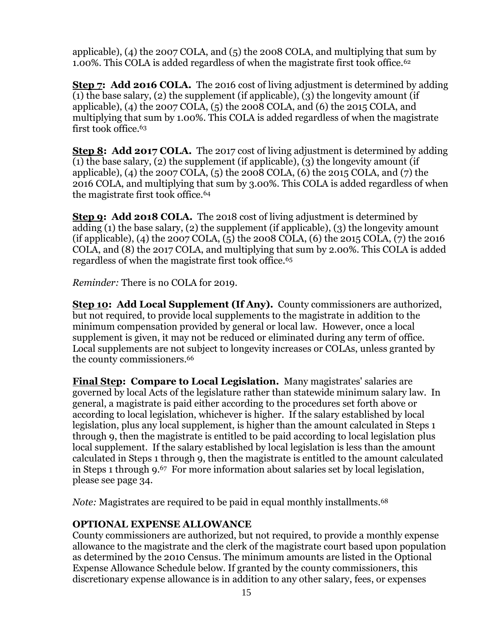applicable), (4) the 2007 COLA, and (5) the 2008 COLA, and multiplying that sum by 1.00%. This COLA is added regardless of when the magistrate first took office.<sup>62</sup>

**Step 7: Add 2016 COLA.** The 2016 cost of living adjustment is determined by adding (1) the base salary, (2) the supplement (if applicable), (3) the longevity amount (if applicable), (4) the 2007 COLA, (5) the 2008 COLA, and (6) the 2015 COLA, and multiplying that sum by 1.00%. This COLA is added regardless of when the magistrate first took office.<sup>63</sup>

**Step 8: Add 2017 COLA.** The 2017 cost of living adjustment is determined by adding (1) the base salary, (2) the supplement (if applicable), (3) the longevity amount (if applicable), (4) the 2007 COLA, (5) the 2008 COLA, (6) the 2015 COLA, and (7) the 2016 COLA, and multiplying that sum by 3.00%. This COLA is added regardless of when the magistrate first took office.<sup>64</sup>

**Step 9: Add 2018 COLA.** The 2018 cost of living adjustment is determined by adding (1) the base salary, (2) the supplement (if applicable), (3) the longevity amount (if applicable), (4) the 2007 COLA, (5) the 2008 COLA, (6) the 2015 COLA, (7) the 2016 COLA, and (8) the 2017 COLA, and multiplying that sum by 2.00%. This COLA is added regardless of when the magistrate first took office.<sup>65</sup>

*Reminder:* There is no COLA for 2019.

**Step 10: Add Local Supplement (If Any).** County commissioners are authorized, but not required, to provide local supplements to the magistrate in addition to the minimum compensation provided by general or local law. However, once a local supplement is given, it may not be reduced or eliminated during any term of office. Local supplements are not subject to longevity increases or COLAs, unless granted by the county commissioners. 66

**Final Step: Compare to Local Legislation.** Many magistrates' salaries are governed by local Acts of the legislature rather than statewide minimum salary law. In general, a magistrate is paid either according to the procedures set forth above or according to local legislation, whichever is higher. If the salary established by local legislation, plus any local supplement, is higher than the amount calculated in Steps 1 through 9, then the magistrate is entitled to be paid according to local legislation plus local supplement. If the salary established by local legislation is less than the amount calculated in Steps 1 through 9, then the magistrate is entitled to the amount calculated in Steps 1 through 9. <sup>67</sup> For more information about salaries set by local legislation, please see page [34.](#page-33-0)

*Note:* Magistrates are required to be paid in equal monthly installments.<sup>68</sup>

## **OPTIONAL EXPENSE ALLOWANCE**

County commissioners are authorized, but not required, to provide a monthly expense allowance to the magistrate and the clerk of the magistrate court based upon population as determined by the 2010 Census. The minimum amounts are listed in the Optional Expense Allowance Schedule below. If granted by the county commissioners, this discretionary expense allowance is in addition to any other salary, fees, or expenses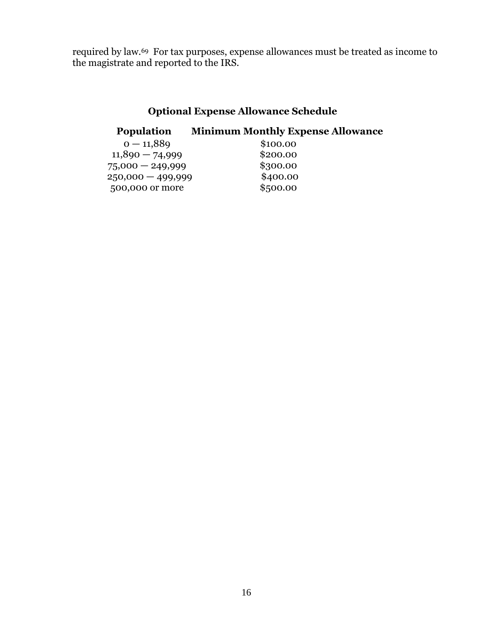required by law.69 For tax purposes, expense allowances must be treated as income to the magistrate and reported to the IRS.

## **Optional Expense Allowance Schedule**

## **Population Minimum Monthly Expense Allowance**

| $0 - 11,889$       | \$100.00 |
|--------------------|----------|
| $11,890 - 74,999$  | \$200.00 |
| $75,000 - 249,999$ | \$300.00 |
| 250,000 - 499,999  | \$400.00 |
| 500,000 or more    | \$500.00 |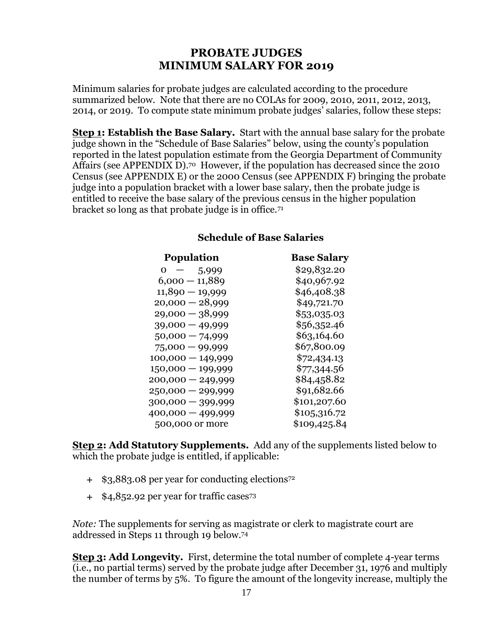## **PROBATE JUDGES MINIMUM SALARY FOR 2019**

<span id="page-16-0"></span>Minimum salaries for probate judges are calculated according to the procedure summarized below. Note that there are no COLAs for 2009, 2010, 2011, 2012, 2013, 2014, or 2019. To compute state minimum probate judges' salaries, follow these steps:

**Step 1: Establish the Base Salary.** Start with the annual base salary for the probate judge shown in the "Schedule of Base Salaries" below, using the county's population reported in the latest population estimate from the Georgia Department of Community Affairs (see [APPENDIX D\)](#page-39-0).70 However, if the population has decreased since the 2010 Census (see [APPENDIX E\)](#page-41-0) or the 2000 Census (see [APPENDIX F\)](#page-43-1) bringing the probate judge into a population bracket with a lower base salary, then the probate judge is entitled to receive the base salary of the previous census in the higher population bracket so long as that probate judge is in office.<sup>71</sup>

#### **Schedule of Base Salaries**

| <b>Population</b>                      | <b>Base Salary</b> |
|----------------------------------------|--------------------|
| 0<br>5,999<br>$\overline{\phantom{0}}$ | \$29,832.20        |
| $6,000 - 11,889$                       | \$40,967.92        |
| $11,890 - 19,999$                      | \$46,408.38        |
| $20,000 - 28,999$                      | \$49,721.70        |
| $29,000 - 38,999$                      | \$53,035.03        |
| $39,000 - 49,999$                      | \$56,352.46        |
| $50,000 - 74,999$                      | \$63,164.60        |
| $75,000 - 99,999$                      | \$67,800.09        |
| $100,000 - 149,999$                    | \$72,434.13        |
| $150,000 - 199,999$                    | \$77,344.56        |
| $200,000 - 249,999$                    | \$84,458.82        |
| $250,000 - 299,999$                    | \$91,682.66        |
| $300,000 - 399,999$                    | \$101,207.60       |
| 400,000 — 499,999                      | \$105,316.72       |
| 500,000 or more                        | \$109,425.84       |

**Step 2: Add Statutory Supplements.** Add any of the supplements listed below to which the probate judge is entitled, if applicable:

- \$3,883.08 per year for conducting elections<sup>72</sup>
- \$4,852.92 per year for traffic cases<sup>73</sup>

*Note:* The supplements for serving as magistrate or clerk to magistrate court are addressed in Steps 11 through 19 below.<sup>74</sup>

**Step 3: Add Longevity.** First, determine the total number of complete 4-year terms (i.e., no partial terms) served by the probate judge after December 31, 1976 and multiply the number of terms by 5%. To figure the amount of the longevity increase, multiply the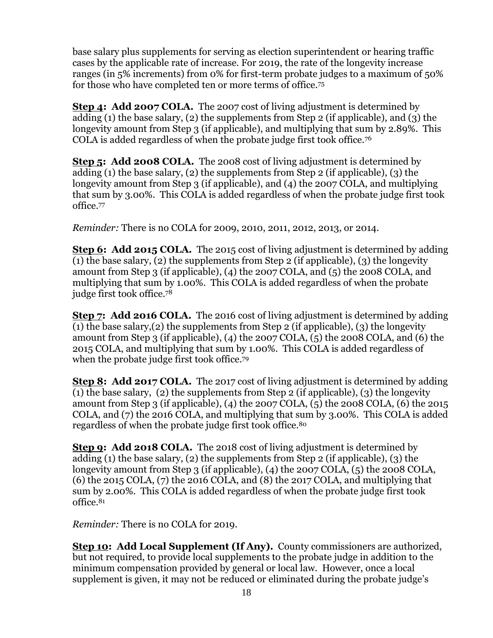base salary plus supplements for serving as election superintendent or hearing traffic cases by the applicable rate of increase. For 2019, the rate of the longevity increase ranges (in 5% increments) from 0% for first-term probate judges to a maximum of 50% for those who have completed ten or more terms of office.<sup>75</sup>

**Step 4: Add 2007 COLA.** The 2007 cost of living adjustment is determined by adding (1) the base salary, (2) the supplements from Step 2 (if applicable), and (3) the longevity amount from Step 3 (if applicable), and multiplying that sum by 2.89%. This COLA is added regardless of when the probate judge first took office.<sup>76</sup>

**Step 5: Add 2008 COLA.** The 2008 cost of living adjustment is determined by adding (1) the base salary, (2) the supplements from Step 2 (if applicable), (3) the longevity amount from Step 3 (if applicable), and (4) the 2007 COLA, and multiplying that sum by 3.00%. This COLA is added regardless of when the probate judge first took office.<sup>77</sup>

*Reminder:* There is no COLA for 2009, 2010, 2011, 2012, 2013, or 2014.

**Step 6: Add 2015 COLA.** The 2015 cost of living adjustment is determined by adding (1) the base salary, (2) the supplements from Step 2 (if applicable), (3) the longevity amount from Step 3 (if applicable), (4) the 2007 COLA, and (5) the 2008 COLA, and multiplying that sum by 1.00%. This COLA is added regardless of when the probate judge first took office. 78

**Step 7: Add 2016 COLA.** The 2016 cost of living adjustment is determined by adding (1) the base salary,(2) the supplements from Step 2 (if applicable), (3) the longevity amount from Step 3 (if applicable), (4) the 2007 COLA, (5) the 2008 COLA, and (6) the 2015 COLA, and multiplying that sum by 1.00%. This COLA is added regardless of when the probate judge first took office.<sup>79</sup>

**Step 8: Add 2017 COLA.** The 2017 cost of living adjustment is determined by adding (1) the base salary, (2) the supplements from Step 2 (if applicable), (3) the longevity amount from Step 3 (if applicable), (4) the 2007 COLA, (5) the 2008 COLA, (6) the 2015 COLA, and (7) the 2016 COLA, and multiplying that sum by 3.00%. This COLA is added regardless of when the probate judge first took office.<sup>80</sup>

**Step 9: Add 2018 COLA.** The 2018 cost of living adjustment is determined by adding (1) the base salary, (2) the supplements from Step 2 (if applicable), (3) the longevity amount from Step 3 (if applicable), (4) the 2007 COLA, (5) the 2008 COLA, (6) the 2015 COLA, (7) the 2016 COLA, and (8) the 2017 COLA, and multiplying that sum by 2.00%. This COLA is added regardless of when the probate judge first took office.<sup>81</sup>

*Reminder:* There is no COLA for 2019.

**Step 10: Add Local Supplement (If Any).** County commissioners are authorized, but not required, to provide local supplements to the probate judge in addition to the minimum compensation provided by general or local law. However, once a local supplement is given, it may not be reduced or eliminated during the probate judge's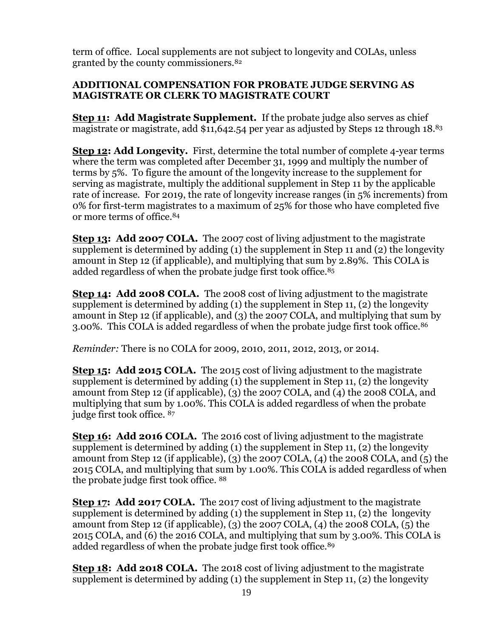term of office. Local supplements are not subject to longevity and COLAs, unless granted by the county commissioners.<sup>82</sup>

### **ADDITIONAL COMPENSATION FOR PROBATE JUDGE SERVING AS MAGISTRATE OR CLERK TO MAGISTRATE COURT**

**Step 11: Add Magistrate Supplement.** If the probate judge also serves as chief magistrate or magistrate, add \$11,642.54 per year as adjusted by Steps 12 through 18. 83

**Step 12: Add Longevity.** First, determine the total number of complete 4-year terms where the term was completed after December 31, 1999 and multiply the number of terms by 5%. To figure the amount of the longevity increase to the supplement for serving as magistrate, multiply the additional supplement in Step 11 by the applicable rate of increase. For 2019, the rate of longevity increase ranges (in 5% increments) from 0% for first-term magistrates to a maximum of 25% for those who have completed five or more terms of office. 84

**Step 13: Add 2007 COLA.** The 2007 cost of living adjustment to the magistrate supplement is determined by adding (1) the supplement in Step 11 and (2) the longevity amount in Step 12 (if applicable), and multiplying that sum by 2.89%. This COLA is added regardless of when the probate judge first took office.<sup>85</sup>

**Step 14: Add 2008 COLA.** The 2008 cost of living adjustment to the magistrate supplement is determined by adding (1) the supplement in Step 11, (2) the longevity amount in Step 12 (if applicable), and (3) the 2007 COLA, and multiplying that sum by 3.00%. This COLA is added regardless of when the probate judge first took office.<sup>86</sup>

*Reminder:* There is no COLA for 2009, 2010, 2011, 2012, 2013, or 2014.

**Step 15: Add 2015 COLA.** The 2015 cost of living adjustment to the magistrate supplement is determined by adding (1) the supplement in Step 11, (2) the longevity amount from Step 12 (if applicable), (3) the 2007 COLA, and (4) the 2008 COLA, and multiplying that sum by 1.00%. This COLA is added regardless of when the probate judge first took office. <sup>87</sup>

**Step 16: Add 2016 COLA.** The 2016 cost of living adjustment to the magistrate supplement is determined by adding (1) the supplement in Step 11, (2) the longevity amount from Step 12 (if applicable), (3) the 2007 COLA, (4) the 2008 COLA, and (5) the 2015 COLA, and multiplying that sum by 1.00%. This COLA is added regardless of when the probate judge first took office. <sup>88</sup>

**Step 17: Add 2017 COLA.** The 2017 cost of living adjustment to the magistrate supplement is determined by adding  $(1)$  the supplement in Step 11,  $(2)$  the longevity amount from Step 12 (if applicable), (3) the 2007 COLA, (4) the 2008 COLA, (5) the 2015 COLA, and (6) the 2016 COLA, and multiplying that sum by 3.00%. This COLA is added regardless of when the probate judge first took office.<sup>89</sup>

**Step 18: Add 2018 COLA.** The 2018 cost of living adjustment to the magistrate supplement is determined by adding (1) the supplement in Step 11, (2) the longevity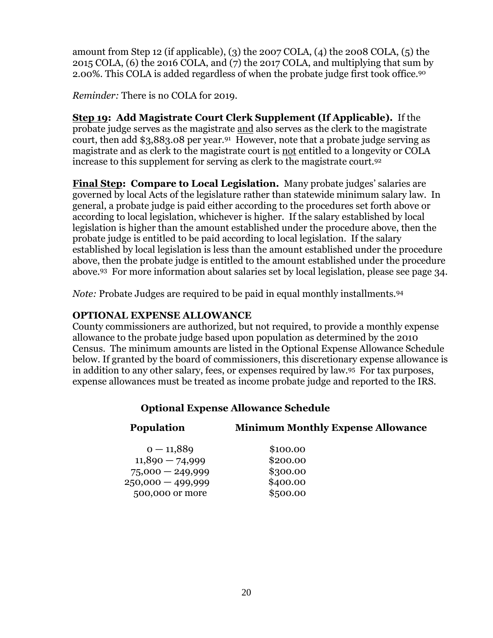amount from Step 12 (if applicable), (3) the 2007 COLA, (4) the 2008 COLA, (5) the 2015 COLA, (6) the 2016 COLA, and (7) the 2017 COLA, and multiplying that sum by 2.00%. This COLA is added regardless of when the probate judge first took office.<sup>90</sup>

*Reminder:* There is no COLA for 2019.

**Step 19: Add Magistrate Court Clerk Supplement (If Applicable).** If the probate judge serves as the magistrate and also serves as the clerk to the magistrate court, then add \$3,883.08 per year. 91 However, note that a probate judge serving as magistrate and as clerk to the magistrate court is not entitled to a longevity or COLA increase to this supplement for serving as clerk to the magistrate court.<sup>92</sup>

**Final Step: Compare to Local Legislation.** Many probate judges' salaries are governed by local Acts of the legislature rather than statewide minimum salary law. In general, a probate judge is paid either according to the procedures set forth above or according to local legislation, whichever is higher. If the salary established by local legislation is higher than the amount established under the procedure above, then the probate judge is entitled to be paid according to local legislation. If the salary established by local legislation is less than the amount established under the procedure above, then the probate judge is entitled to the amount established under the procedure above. <sup>93</sup> For more information about salaries set by local legislation, please see page [34.](#page-33-0)

*Note:* Probate Judges are required to be paid in equal monthly installments.<sup>94</sup>

## **OPTIONAL EXPENSE ALLOWANCE**

County commissioners are authorized, but not required, to provide a monthly expense allowance to the probate judge based upon population as determined by the 2010 Census. The minimum amounts are listed in the Optional Expense Allowance Schedule below. If granted by the board of commissioners, this discretionary expense allowance is in addition to any other salary, fees, or expenses required by law.95 For tax purposes, expense allowances must be treated as income probate judge and reported to the IRS.

## **Optional Expense Allowance Schedule**

| <b>Population</b> | <b>Minimum Monthly Expense Allowance</b> |
|-------------------|------------------------------------------|
|                   |                                          |

| $0 - 11,889$        | \$100.00 |
|---------------------|----------|
| $11,890 - 74,999$   | \$200.00 |
| $75,000 - 249,999$  | \$300.00 |
| $250,000 - 499,999$ | \$400.00 |
| 500,000 or more     | \$500.00 |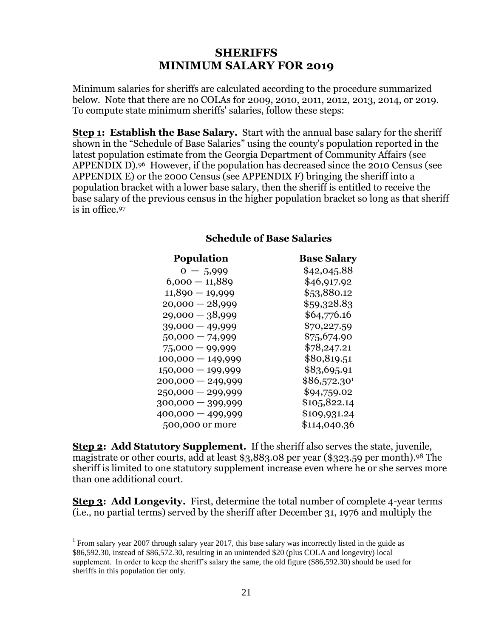## **SHERIFFS MINIMUM SALARY FOR 2019**

<span id="page-20-0"></span>Minimum salaries for sheriffs are calculated according to the procedure summarized below. Note that there are no COLAs for 2009, 2010, 2011, 2012, 2013, 2014, or 2019. To compute state minimum sheriffs' salaries, follow these steps:

**Step 1: Establish the Base Salary.** Start with the annual base salary for the sheriff shown in the "Schedule of Base Salaries" using the county's population reported in the latest population estimate from the Georgia Department of Community Affairs (see [APPENDIX D\)](#page-39-0).96 However, if the population has decreased since the 2010 Census (see [APPENDIX E\)](#page-41-0) or the 2000 Census (see [APPENDIX F\)](#page-43-1) bringing the sheriff into a population bracket with a lower base salary, then the sheriff is entitled to receive the base salary of the previous census in the higher population bracket so long as that sheriff is in office.<sup>97</sup>

#### **Schedule of Base Salaries**

| <b>Population</b>   | <b>Base Salary</b> |
|---------------------|--------------------|
| $0 - 5,999$         | \$42,045.88        |
| $6,000 - 11,889$    | \$46,917.92        |
| $11,890 - 19,999$   | \$53,880.12        |
| $20,000 - 28,999$   | \$59,328.83        |
| $29,000 - 38,999$   | \$64,776.16        |
| $39,000 - 49,999$   | \$70,227.59        |
| $50,000 - 74,999$   | \$75,674.90        |
| $75,000 - 99,999$   | \$78,247.21        |
| $100,000 - 149,999$ | \$80,819.51        |
| $150,000 - 199,999$ | \$83,695.91        |
| $200,000 - 249,999$ | \$86,572.301       |
| $250,000 - 299,999$ | \$94,759.02        |
| 300,000 - 399,999   | \$105,822.14       |
| 400,000 — 499,999   | \$109,931.24       |
| 500,000 or more     | \$114,040.36       |

**Step 2: Add Statutory Supplement.** If the sheriff also serves the state, juvenile, magistrate or other courts, add at least \$3,883.08 per year (\$323.59 per month). <sup>98</sup> The sheriff is limited to one statutory supplement increase even where he or she serves more than one additional court.

**Step 3: Add Longevity.** First, determine the total number of complete 4-year terms (i.e., no partial terms) served by the sheriff after December 31, 1976 and multiply the

 $\overline{a}$ 

<sup>&</sup>lt;sup>1</sup> From salary year 2007 through salary year 2017, this base salary was incorrectly listed in the guide as \$86,592.30, instead of \$86,572.30, resulting in an unintended \$20 (plus COLA and longevity) local supplement. In order to keep the sheriff's salary the same, the old figure (\$86,592.30) should be used for sheriffs in this population tier only.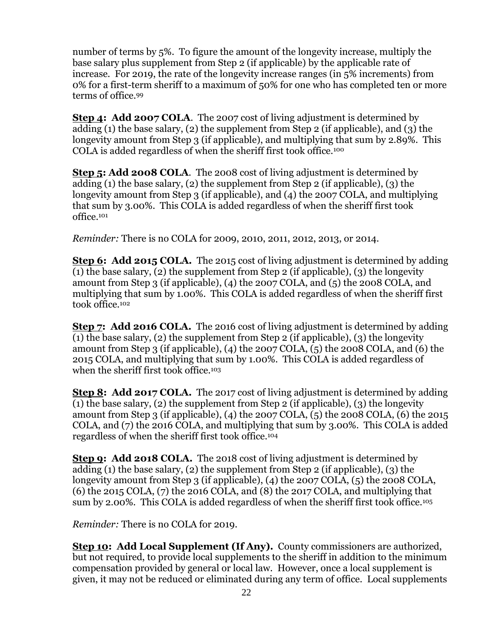number of terms by 5%. To figure the amount of the longevity increase, multiply the base salary plus supplement from Step 2 (if applicable) by the applicable rate of increase. For 2019, the rate of the longevity increase ranges (in 5% increments) from 0% for a first-term sheriff to a maximum of 50% for one who has completed ten or more terms of office.<sup>99</sup>

**Step 4: Add 2007 COLA.** The 2007 cost of living adjustment is determined by adding (1) the base salary, (2) the supplement from Step 2 (if applicable), and (3) the longevity amount from Step 3 (if applicable), and multiplying that sum by 2.89%. This COLA is added regardless of when the sheriff first took office.<sup>100</sup>

**Step 5: Add 2008 COLA**. The 2008 cost of living adjustment is determined by adding (1) the base salary, (2) the supplement from Step 2 (if applicable), (3) the longevity amount from Step 3 (if applicable), and (4) the 2007 COLA, and multiplying that sum by 3.00%. This COLA is added regardless of when the sheriff first took office.<sup>101</sup>

*Reminder:* There is no COLA for 2009, 2010, 2011, 2012, 2013, or 2014.

**Step 6: Add 2015 COLA.** The 2015 cost of living adjustment is determined by adding (1) the base salary, (2) the supplement from Step 2 (if applicable), (3) the longevity amount from Step 3 (if applicable), (4) the 2007 COLA, and (5) the 2008 COLA, and multiplying that sum by 1.00%. This COLA is added regardless of when the sheriff first took office.<sup>102</sup>

**Step 7: Add 2016 COLA.** The 2016 cost of living adjustment is determined by adding (1) the base salary, (2) the supplement from Step 2 (if applicable), (3) the longevity amount from Step 3 (if applicable), (4) the 2007 COLA, (5) the 2008 COLA, and (6) the 2015 COLA, and multiplying that sum by 1.00%. This COLA is added regardless of when the sheriff first took office.<sup>103</sup>

**Step 8: Add 2017 COLA.** The 2017 cost of living adjustment is determined by adding (1) the base salary, (2) the supplement from Step 2 (if applicable), (3) the longevity amount from Step 3 (if applicable), (4) the 2007 COLA, (5) the 2008 COLA, (6) the 2015 COLA, and (7) the 2016 COLA, and multiplying that sum by 3.00%. This COLA is added regardless of when the sheriff first took office.<sup>104</sup>

**Step 9: Add 2018 COLA.** The 2018 cost of living adjustment is determined by adding (1) the base salary, (2) the supplement from Step 2 (if applicable), (3) the longevity amount from Step 3 (if applicable), (4) the 2007 COLA, (5) the 2008 COLA, (6) the 2015 COLA, (7) the 2016 COLA, and (8) the 2017 COLA, and multiplying that sum by 2.00%. This COLA is added regardless of when the sheriff first took office.<sup>105</sup>

*Reminder:* There is no COLA for 2019.

**Step 10: Add Local Supplement (If Any).** County commissioners are authorized, but not required, to provide local supplements to the sheriff in addition to the minimum compensation provided by general or local law. However, once a local supplement is given, it may not be reduced or eliminated during any term of office. Local supplements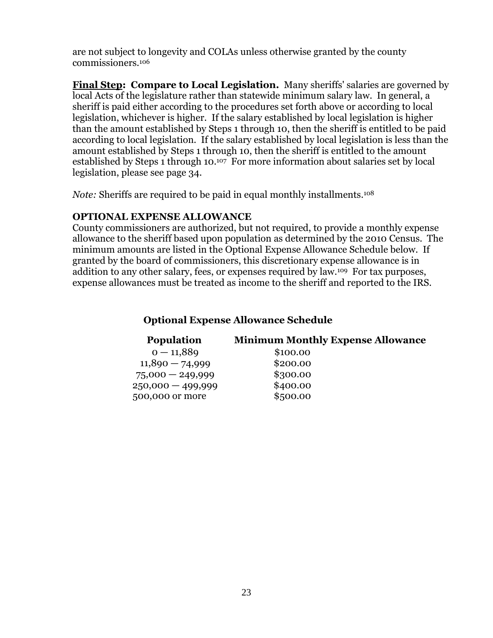are not subject to longevity and COLAs unless otherwise granted by the county commissioners.<sup>106</sup>

**Final Step: Compare to Local Legislation.** Many sheriffs' salaries are governed by local Acts of the legislature rather than statewide minimum salary law. In general, a sheriff is paid either according to the procedures set forth above or according to local legislation, whichever is higher. If the salary established by local legislation is higher than the amount established by Steps 1 through 10, then the sheriff is entitled to be paid according to local legislation. If the salary established by local legislation is less than the amount established by Steps 1 through 10, then the sheriff is entitled to the amount established by Steps 1 through 10. <sup>107</sup> For more information about salaries set by local legislation, please see page [34.](#page-33-0)

*Note:* Sheriffs are required to be paid in equal monthly installments.<sup>108</sup>

### **OPTIONAL EXPENSE ALLOWANCE**

County commissioners are authorized, but not required, to provide a monthly expense allowance to the sheriff based upon population as determined by the 2010 Census. The minimum amounts are listed in the Optional Expense Allowance Schedule below. If granted by the board of commissioners, this discretionary expense allowance is in addition to any other salary, fees, or expenses required by law.109 For tax purposes, expense allowances must be treated as income to the sheriff and reported to the IRS.

## **Optional Expense Allowance Schedule**

| <b>Population</b>   | <b>Minimum Monthly Expense Allowance</b> |
|---------------------|------------------------------------------|
| $0 - 11,889$        | \$100.00                                 |
| $11,890 - 74,999$   | \$200.00                                 |
| $75,000 - 249,999$  | \$300.00                                 |
| $250,000 - 499,999$ | \$400.00                                 |
| 500,000 or more     | \$500.00                                 |
|                     |                                          |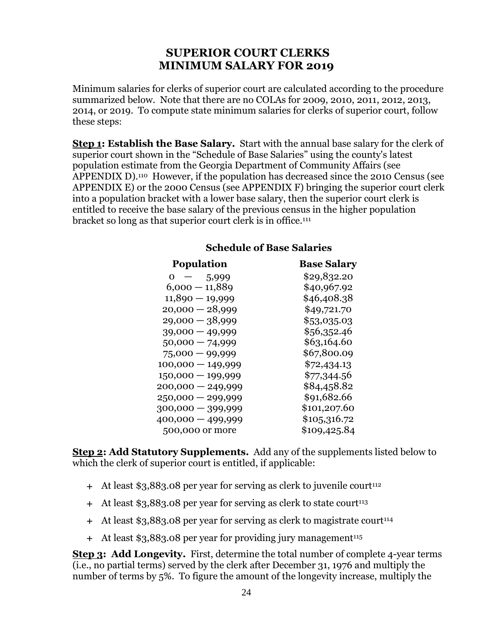## <span id="page-23-0"></span>**SUPERIOR COURT CLERKS MINIMUM SALARY FOR 2019**

Minimum salaries for clerks of superior court are calculated according to the procedure summarized below. Note that there are no COLAs for 2009, 2010, 2011, 2012, 2013, 2014, or 2019. To compute state minimum salaries for clerks of superior court, follow these steps:

**Step 1: Establish the Base Salary.** Start with the annual base salary for the clerk of superior court shown in the "Schedule of Base Salaries" using the county's latest population estimate from the Georgia Department of Community Affairs (see [APPENDIX D\)](#page-39-0).110 However, if the population has decreased since the 2010 Census (see [APPENDIX E\)](#page-41-0) or the 2000 Census (see [APPENDIX F\)](#page-43-1) bringing the superior court clerk into a population bracket with a lower base salary, then the superior court clerk is entitled to receive the base salary of the previous census in the higher population bracket so long as that superior court clerk is in office.<sup>111</sup>

| <b>Population</b>   | <b>Base Salary</b> |
|---------------------|--------------------|
| $0 -$<br>5,999      | \$29,832.20        |
| $6,000 - 11,889$    | \$40,967.92        |
| $11,890 - 19,999$   | \$46,408.38        |
| $20,000 - 28,999$   | \$49,721.70        |
| $29,000 - 38,999$   | \$53,035.03        |
| $39,000 - 49,999$   | \$56,352.46        |
| $50,000 - 74,999$   | \$63,164.60        |
| $75,000 - 99,999$   | \$67,800.09        |
| $100,000 - 149,999$ | \$72,434.13        |
| $150,000 - 199,999$ | \$77,344.56        |
| $200,000 - 249,999$ | \$84,458.82        |
| $250,000 - 299,999$ | \$91,682.66        |
| 300,000 - 399,999   | \$101,207.60       |
| 400,000 - 499,999   | \$105,316.72       |
| 500,000 or more     | \$109,425.84       |

#### **Schedule of Base Salaries**

**Step 2: Add Statutory Supplements.** Add any of the supplements listed below to which the clerk of superior court is entitled, if applicable:

- $+$  At least \$3,883.08 per year for serving as clerk to juvenile court<sup>112</sup>
- $+$  At least \$3,883.08 per year for serving as clerk to state court<sup>113</sup>
- + At least \$3,883.08 per year for serving as clerk to magistrate court<sup>114</sup>
- + At least \$3,883.08 per year for providing jury management<sup>115</sup>

**Step 3: Add Longevity.** First, determine the total number of complete 4-year terms (i.e., no partial terms) served by the clerk after December 31, 1976 and multiply the number of terms by 5%. To figure the amount of the longevity increase, multiply the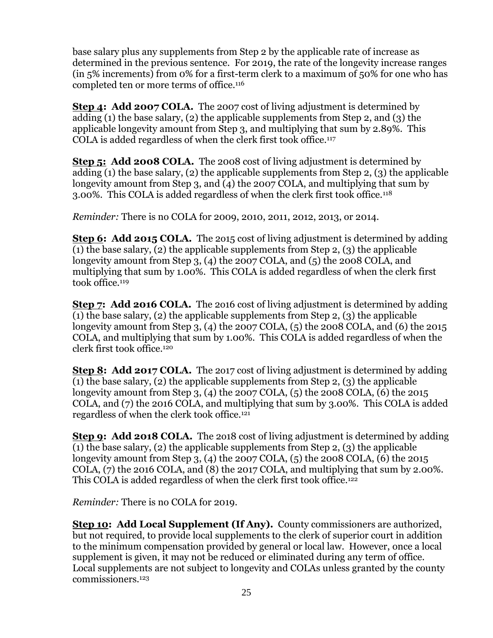base salary plus any supplements from Step 2 by the applicable rate of increase as determined in the previous sentence. For 2019, the rate of the longevity increase ranges (in 5% increments) from 0% for a first-term clerk to a maximum of 50% for one who has completed ten or more terms of office.<sup>116</sup>

**Step 4: Add 2007 COLA.** The 2007 cost of living adjustment is determined by adding (1) the base salary, (2) the applicable supplements from Step 2, and (3) the applicable longevity amount from Step 3, and multiplying that sum by 2.89%. This COLA is added regardless of when the clerk first took office.<sup>117</sup>

**Step 5: Add 2008 COLA.** The 2008 cost of living adjustment is determined by adding (1) the base salary, (2) the applicable supplements from Step 2, (3) the applicable longevity amount from Step 3, and (4) the 2007 COLA, and multiplying that sum by 3.00%. This COLA is added regardless of when the clerk first took office.<sup>118</sup>

*Reminder:* There is no COLA for 2009, 2010, 2011, 2012, 2013, or 2014.

**Step 6: Add 2015 COLA.** The 2015 cost of living adjustment is determined by adding (1) the base salary, (2) the applicable supplements from Step 2, (3) the applicable longevity amount from Step 3, (4) the 2007 COLA, and (5) the 2008 COLA, and multiplying that sum by 1.00%. This COLA is added regardless of when the clerk first took office.<sup>119</sup>

**Step 7: Add 2016 COLA.** The 2016 cost of living adjustment is determined by adding (1) the base salary, (2) the applicable supplements from Step 2, (3) the applicable longevity amount from Step 3, (4) the 2007 COLA, (5) the 2008 COLA, and (6) the 2015 COLA, and multiplying that sum by 1.00%. This COLA is added regardless of when the clerk first took office.<sup>120</sup>

**Step 8: Add 2017 COLA.** The 2o17 cost of living adjustment is determined by adding (1) the base salary, (2) the applicable supplements from Step 2, (3) the applicable longevity amount from Step 3, (4) the 2007 COLA, (5) the 2008 COLA, (6) the 2015 COLA, and (7) the 2016 COLA, and multiplying that sum by 3.00%. This COLA is added regardless of when the clerk took office.<sup>121</sup>

**Step 9: Add 2018 COLA.** The 2o18 cost of living adjustment is determined by adding (1) the base salary, (2) the applicable supplements from Step 2, (3) the applicable longevity amount from Step 3, (4) the 2007 COLA, (5) the 2008 COLA, (6) the 2015 COLA,  $(7)$  the 2016 COLA, and  $(8)$  the 2017 COLA, and multiplying that sum by 2.00%. This COLA is added regardless of when the clerk first took office.<sup>122</sup>

*Reminder:* There is no COLA for 2019.

**Step 10: Add Local Supplement (If Any).** County commissioners are authorized, but not required, to provide local supplements to the clerk of superior court in addition to the minimum compensation provided by general or local law. However, once a local supplement is given, it may not be reduced or eliminated during any term of office. Local supplements are not subject to longevity and COLAs unless granted by the county commissioners.123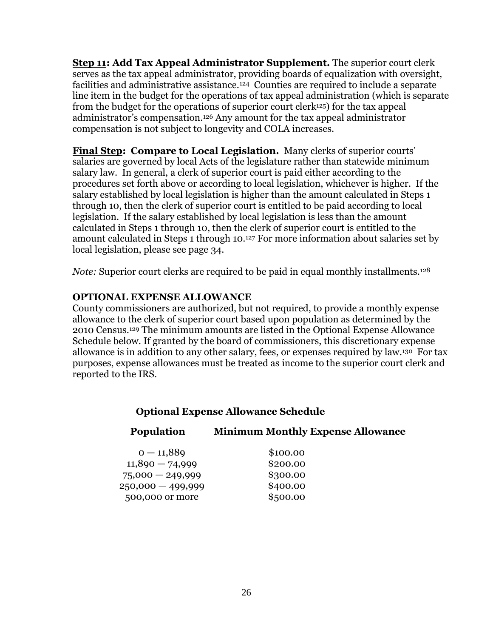**Step 11: Add Tax Appeal Administrator Supplement.** The superior court clerk serves as the tax appeal administrator, providing boards of equalization with oversight, facilities and administrative assistance.<sup>124</sup> Counties are required to include a separate line item in the budget for the operations of tax appeal administration (which is separate from the budget for the operations of superior court clerk125) for the tax appeal administrator's compensation.<sup>126</sup> Any amount for the tax appeal administrator compensation is not subject to longevity and COLA increases.

**Final Step: Compare to Local Legislation.** Many clerks of superior courts' salaries are governed by local Acts of the legislature rather than statewide minimum salary law. In general, a clerk of superior court is paid either according to the procedures set forth above or according to local legislation, whichever is higher. If the salary established by local legislation is higher than the amount calculated in Steps 1 through 10, then the clerk of superior court is entitled to be paid according to local legislation. If the salary established by local legislation is less than the amount calculated in Steps 1 through 10, then the clerk of superior court is entitled to the amount calculated in Steps 1 through 10. <sup>127</sup> For more information about salaries set by local legislation, please see page [34.](#page-33-0)

*Note:* Superior court clerks are required to be paid in equal monthly installments.<sup>128</sup>

#### **OPTIONAL EXPENSE ALLOWANCE**

County commissioners are authorized, but not required, to provide a monthly expense allowance to the clerk of superior court based upon population as determined by the 2010 Census.<sup>129</sup> The minimum amounts are listed in the Optional Expense Allowance Schedule below. If granted by the board of commissioners, this discretionary expense allowance is in addition to any other salary, fees, or expenses required by law.130 For tax purposes, expense allowances must be treated as income to the superior court clerk and reported to the IRS.

#### **Optional Expense Allowance Schedule**

#### **Population Minimum Monthly Expense Allowance**

| $0 - 11,889$       | \$100.00 |
|--------------------|----------|
| $11,890 - 74,999$  | \$200.00 |
| $75,000 - 249,999$ | \$300.00 |
| 250,000 - 499,999  | \$400.00 |
| 500,000 or more    | \$500.00 |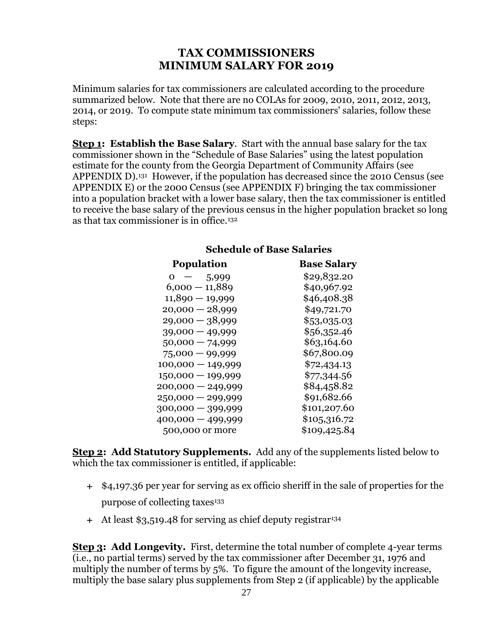## **TAX COMMISSIONERS MINIMUM SALARY FOR 2019**

<span id="page-26-0"></span>Minimum salaries for tax commissioners are calculated according to the procedure summarized below. Note that there are no COLAs for 2009, 2010, 2011, 2012, 2013, 2014, or 2019. To compute state minimum tax commissioners' salaries, follow these steps:

**Step 1: Establish the Base Salary**. Start with the annual base salary for the tax commissioner shown in the "Schedule of Base Salaries" using the latest population estimate for the county from the Georgia Department of Community Affairs (see [APPENDIX D\)](#page-39-0).<sup>131</sup> However, if the population has decreased since the 2010 Census (see [APPENDIX E\)](#page-41-0) or the 2000 Census (see [APPENDIX F\)](#page-43-1) bringing the tax commissioner into a population bracket with a lower base salary, then the tax commissioner is entitled to receive the base salary of the previous census in the higher population bracket so long as that tax commissioner is in office.<sup>132</sup>

| <b>Population</b>   | <b>Base Salary</b> |
|---------------------|--------------------|
| $0 -$<br>5,999      | \$29,832.20        |
| $6,000 - 11,889$    | \$40,967.92        |
| $11,890 - 19,999$   | \$46,408.38        |
| $20,000 - 28,999$   | \$49,721.70        |
| $29,000 - 38,999$   | \$53,035.03        |
| $39,000 - 49,999$   | \$56,352.46        |
| $50,000 - 74,999$   | \$63,164.60        |
| $75,000 - 99,999$   | \$67,800.09        |
| $100,000 - 149,999$ | \$72,434.13        |
| $150,000 - 199,999$ | \$77,344.56        |
| $200,000 - 249,999$ | \$84,458.82        |
| $250,000 - 299,999$ | \$91,682.66        |
| $300,000 - 399,999$ | \$101,207.60       |
| 400,000 - 499,999   | \$105,316.72       |
| 500,000 or more     | \$109,425.84       |

### **Schedule of Base Salaries**

**Step 2: Add Statutory Supplements.** Add any of the supplements listed below to which the tax commissioner is entitled, if applicable:

- \$4,197.36 per year for serving as ex officio sheriff in the sale of properties for the purpose of collecting taxes<sup>133</sup>
- At least \$3,519.48 for serving as chief deputy registrar<sup>134</sup>

**Step 3: Add Longevity.** First, determine the total number of complete 4-year terms (i.e., no partial terms) served by the tax commissioner after December 31, 1976 and multiply the number of terms by 5%. To figure the amount of the longevity increase, multiply the base salary plus supplements from Step 2 (if applicable) by the applicable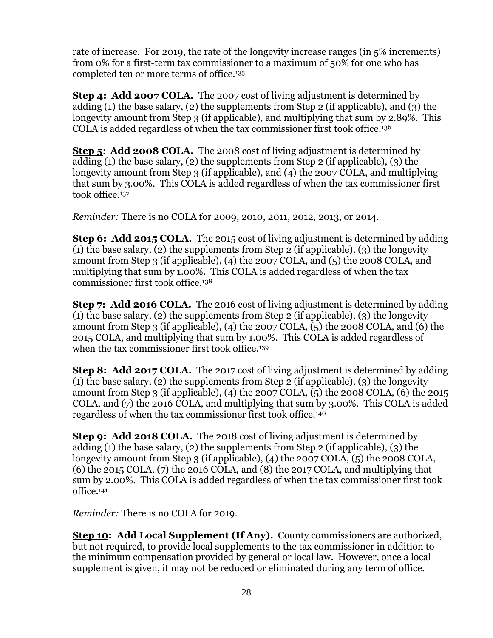rate of increase. For 2019, the rate of the longevity increase ranges (in 5% increments) from 0% for a first-term tax commissioner to a maximum of 50% for one who has completed ten or more terms of office.<sup>135</sup>

**Step 4: Add 2007 COLA.** The 2007 cost of living adjustment is determined by adding (1) the base salary, (2) the supplements from Step 2 (if applicable), and (3) the longevity amount from Step 3 (if applicable), and multiplying that sum by 2.89%. This COLA is added regardless of when the tax commissioner first took office.<sup>136</sup>

**Step 5**: **Add 2008 COLA.** The 2008 cost of living adjustment is determined by adding (1) the base salary, (2) the supplements from Step 2 (if applicable), (3) the longevity amount from Step 3 (if applicable), and (4) the 2007 COLA, and multiplying that sum by 3.00%. This COLA is added regardless of when the tax commissioner first took office.<sup>137</sup>

*Reminder:* There is no COLA for 2009, 2010, 2011, 2012, 2013, or 2014.

**Step 6: Add 2015 COLA.** The 2015 cost of living adjustment is determined by adding (1) the base salary, (2) the supplements from Step 2 (if applicable), (3) the longevity amount from Step 3 (if applicable), (4) the 2007 COLA, and (5) the 2008 COLA, and multiplying that sum by 1.00%. This COLA is added regardless of when the tax commissioner first took office.<sup>138</sup>

**Step 7: Add 2016 COLA.** The 2016 cost of living adjustment is determined by adding (1) the base salary, (2) the supplements from Step 2 (if applicable), (3) the longevity amount from Step 3 (if applicable), (4) the 2007 COLA, (5) the 2008 COLA, and (6) the 2015 COLA, and multiplying that sum by 1.00%. This COLA is added regardless of when the tax commissioner first took office.<sup>139</sup>

**Step 8: Add 2017 COLA.** The 2017 cost of living adjustment is determined by adding (1) the base salary, (2) the supplements from Step 2 (if applicable), (3) the longevity amount from Step 3 (if applicable), (4) the 2007 COLA, (5) the 2008 COLA, (6) the 2015 COLA, and (7) the 2016 COLA, and multiplying that sum by 3.00%. This COLA is added regardless of when the tax commissioner first took office.<sup>140</sup>

**Step 9: Add 2018 COLA.** The 2018 cost of living adjustment is determined by adding (1) the base salary, (2) the supplements from Step 2 (if applicable), (3) the longevity amount from Step 3 (if applicable), (4) the 2007 COLA, (5) the 2008 COLA, (6) the 2015 COLA, (7) the 2016 COLA, and (8) the 2017 COLA, and multiplying that sum by 2.00%. This COLA is added regardless of when the tax commissioner first took office.<sup>141</sup>

*Reminder:* There is no COLA for 2019.

**Step 10: Add Local Supplement (If Any).** County commissioners are authorized, but not required, to provide local supplements to the tax commissioner in addition to the minimum compensation provided by general or local law. However, once a local supplement is given, it may not be reduced or eliminated during any term of office.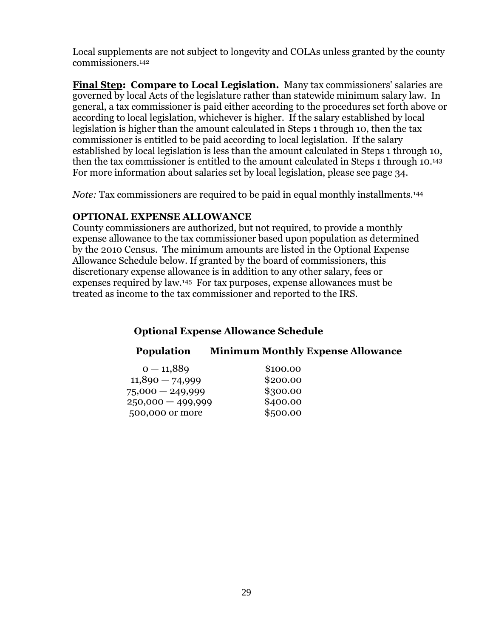Local supplements are not subject to longevity and COLAs unless granted by the county commissioners.<sup>142</sup>

**Final Step: Compare to Local Legislation.** Many tax commissioners' salaries are governed by local Acts of the legislature rather than statewide minimum salary law. In general, a tax commissioner is paid either according to the procedures set forth above or according to local legislation, whichever is higher. If the salary established by local legislation is higher than the amount calculated in Steps 1 through 10, then the tax commissioner is entitled to be paid according to local legislation. If the salary established by local legislation is less than the amount calculated in Steps 1 through 10, then the tax commissioner is entitled to the amount calculated in Steps 1 through 10. <sup>143</sup> For more information about salaries set by local legislation, please see page 34.

*Note:* Tax commissioners are required to be paid in equal monthly installments.<sup>144</sup>

#### **OPTIONAL EXPENSE ALLOWANCE**

County commissioners are authorized, but not required, to provide a monthly expense allowance to the tax commissioner based upon population as determined by the 2010 Census. The minimum amounts are listed in the Optional Expense Allowance Schedule below. If granted by the board of commissioners, this discretionary expense allowance is in addition to any other salary, fees or expenses required by law.145 For tax purposes, expense allowances must be treated as income to the tax commissioner and reported to the IRS.

## **Optional Expense Allowance Schedule**

## **Population Minimum Monthly Expense Allowance**

| $0 - 11,889$        | \$100.00 |
|---------------------|----------|
| $11,890 - 74,999$   | \$200.00 |
| 75,000 - 249,999    | \$300.00 |
| $250,000 - 499,999$ | \$400.00 |
| 500,000 or more     | \$500.00 |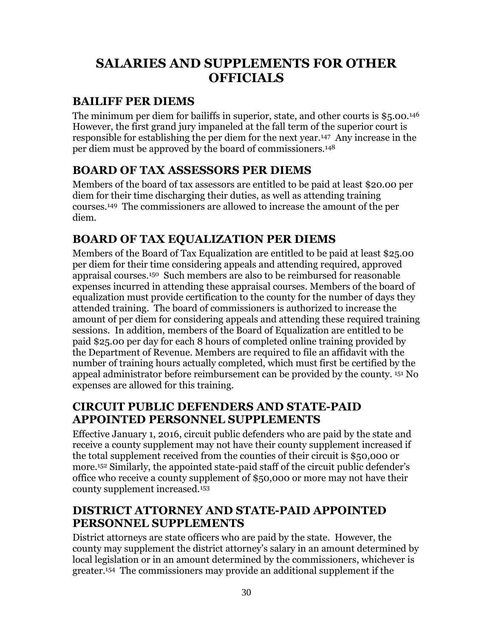## <span id="page-29-0"></span>**SALARIES AND SUPPLEMENTS FOR OTHER OFFICIALS**

## <span id="page-29-1"></span>**BAILIFF PER DIEMS**

The minimum per diem for bailiffs in superior, state, and other courts is \$5.00.<sup>146</sup> However, the first grand jury impaneled at the fall term of the superior court is responsible for establishing the per diem for the next year.147 Any increase in the per diem must be approved by the board of commissioners.<sup>148</sup>

## <span id="page-29-2"></span>**BOARD OF TAX ASSESSORS PER DIEMS**

Members of the board of tax assessors are entitled to be paid at least \$20.00 per diem for their time discharging their duties, as well as attending training courses.149 The commissioners are allowed to increase the amount of the per diem.

## <span id="page-29-3"></span>**BOARD OF TAX EQUALIZATION PER DIEMS**

Members of the Board of Tax Equalization are entitled to be paid at least \$25.00 per diem for their time considering appeals and attending required, approved appraisal courses. <sup>150</sup> Such members are also to be reimbursed for reasonable expenses incurred in attending these appraisal courses. Members of the board of equalization must provide certification to the county for the number of days they attended training. The board of commissioners is authorized to increase the amount of per diem for considering appeals and attending these required training sessions. In addition, members of the Board of Equalization are entitled to be paid \$25.00 per day for each 8 hours of completed online training provided by the Department of Revenue. Members are required to file an affidavit with the number of training hours actually completed, which must first be certified by the appeal administrator before reimbursement can be provided by the county. <sup>151</sup> No expenses are allowed for this training.

## <span id="page-29-4"></span>**CIRCUIT PUBLIC DEFENDERS AND STATE-PAID APPOINTED PERSONNEL SUPPLEMENTS**

Effective January 1, 2016, circuit public defenders who are paid by the state and receive a county supplement may not have their county supplement increased if the total supplement received from the counties of their circuit is \$50,000 or more.<sup>152</sup> Similarly, the appointed state-paid staff of the circuit public defender's office who receive a county supplement of \$50,000 or more may not have their county supplement increased.<sup>153</sup>

## <span id="page-29-5"></span>**DISTRICT ATTORNEY AND STATE-PAID APPOINTED PERSONNEL SUPPLEMENTS**

District attorneys are state officers who are paid by the state. However, the county may supplement the district attorney's salary in an amount determined by local legislation or in an amount determined by the commissioners, whichever is greater. 154 The commissioners may provide an additional supplement if the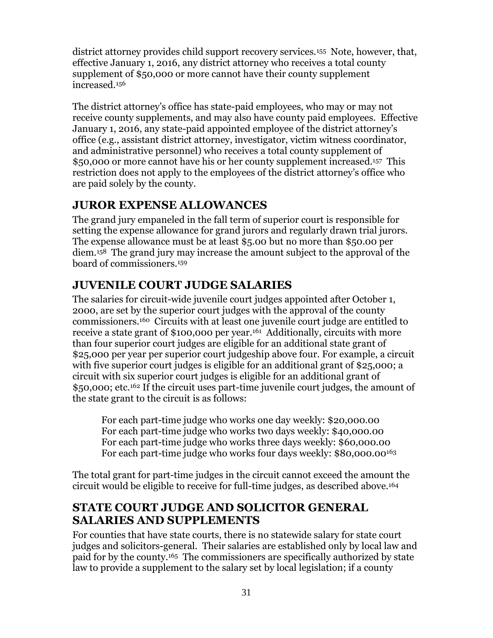district attorney provides child support recovery services.155 Note, however, that, effective January 1, 2016, any district attorney who receives a total county supplement of \$50,000 or more cannot have their county supplement increased.<sup>156</sup>

The district attorney's office has state-paid employees, who may or may not receive county supplements, and may also have county paid employees. Effective January 1, 2016, any state-paid appointed employee of the district attorney's office (e.g., assistant district attorney, investigator, victim witness coordinator, and administrative personnel) who receives a total county supplement of \$50,000 or more cannot have his or her county supplement increased. <sup>157</sup> This restriction does not apply to the employees of the district attorney's office who are paid solely by the county.

## <span id="page-30-0"></span>**JUROR EXPENSE ALLOWANCES**

The grand jury empaneled in the fall term of superior court is responsible for setting the expense allowance for grand jurors and regularly drawn trial jurors. The expense allowance must be at least \$5.00 but no more than \$50.00 per diem.158 The grand jury may increase the amount subject to the approval of the board of commissioners.<sup>159</sup>

## <span id="page-30-1"></span>**JUVENILE COURT JUDGE SALARIES**

The salaries for circuit-wide juvenile court judges appointed after October 1, 2000, are set by the superior court judges with the approval of the county commissioners.160 Circuits with at least one juvenile court judge are entitled to receive a state grant of \$100,000 per year.<sup>161</sup> Additionally, circuits with more than four superior court judges are eligible for an additional state grant of \$25,000 per year per superior court judgeship above four. For example, a circuit with five superior court judges is eligible for an additional grant of \$25,000; a circuit with six superior court judges is eligible for an additional grant of \$50,000; etc. <sup>162</sup> If the circuit uses part-time juvenile court judges, the amount of the state grant to the circuit is as follows:

For each part-time judge who works one day weekly: \$20,000.00 For each part-time judge who works two days weekly: \$40,000.00 For each part-time judge who works three days weekly: \$60,000.00 For each part-time judge who works four days weekly: \$80,000.00<sup>163</sup>

The total grant for part-time judges in the circuit cannot exceed the amount the circuit would be eligible to receive for full-time judges, as described above.<sup>164</sup>

## <span id="page-30-2"></span>**STATE COURT JUDGE AND SOLICITOR GENERAL SALARIES AND SUPPLEMENTS**

For counties that have state courts, there is no statewide salary for state court judges and solicitors-general. Their salaries are established only by local law and paid for by the county.165 The commissioners are specifically authorized by state law to provide a supplement to the salary set by local legislation; if a county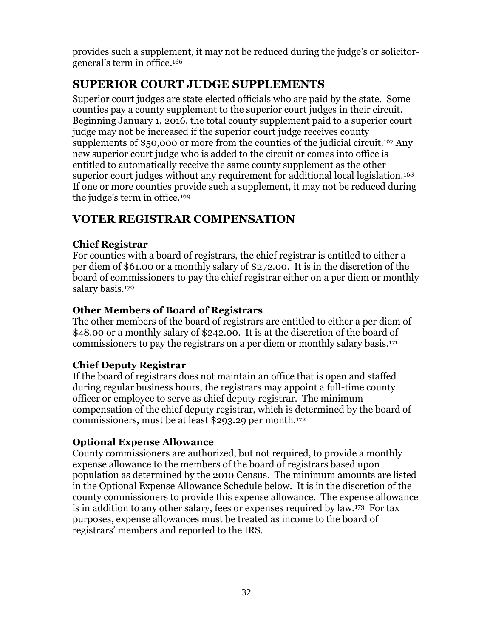provides such a supplement, it may not be reduced during the judge's or solicitorgeneral's term in office. 166

## <span id="page-31-0"></span>**SUPERIOR COURT JUDGE SUPPLEMENTS**

Superior court judges are state elected officials who are paid by the state. Some counties pay a county supplement to the superior court judges in their circuit. Beginning January 1, 2016, the total county supplement paid to a superior court judge may not be increased if the superior court judge receives county supplements of \$50,000 or more from the counties of the judicial circuit. <sup>167</sup> Any new superior court judge who is added to the circuit or comes into office is entitled to automatically receive the same county supplement as the other superior court judges without any requirement for additional local legislation.<sup>168</sup> If one or more counties provide such a supplement, it may not be reduced during the judge's term in office.<sup>169</sup>

## <span id="page-31-1"></span>**VOTER REGISTRAR COMPENSATION**

## **Chief Registrar**

For counties with a board of registrars, the chief registrar is entitled to either a per diem of \$61.00 or a monthly salary of \$272.00. It is in the discretion of the board of commissioners to pay the chief registrar either on a per diem or monthly salary basis.<sup>170</sup>

## **Other Members of Board of Registrars**

The other members of the board of registrars are entitled to either a per diem of \$48.00 or a monthly salary of \$242.00. It is at the discretion of the board of commissioners to pay the registrars on a per diem or monthly salary basis.<sup>171</sup>

## **Chief Deputy Registrar**

If the board of registrars does not maintain an office that is open and staffed during regular business hours, the registrars may appoint a full-time county officer or employee to serve as chief deputy registrar. The minimum compensation of the chief deputy registrar, which is determined by the board of commissioners, must be at least \$293.29 per month.<sup>172</sup>

## **Optional Expense Allowance**

County commissioners are authorized, but not required, to provide a monthly expense allowance to the members of the board of registrars based upon population as determined by the 2010 Census. The minimum amounts are listed in the Optional Expense Allowance Schedule below. It is in the discretion of the county commissioners to provide this expense allowance. The expense allowance is in addition to any other salary, fees or expenses required by law.173 For tax purposes, expense allowances must be treated as income to the board of registrars' members and reported to the IRS.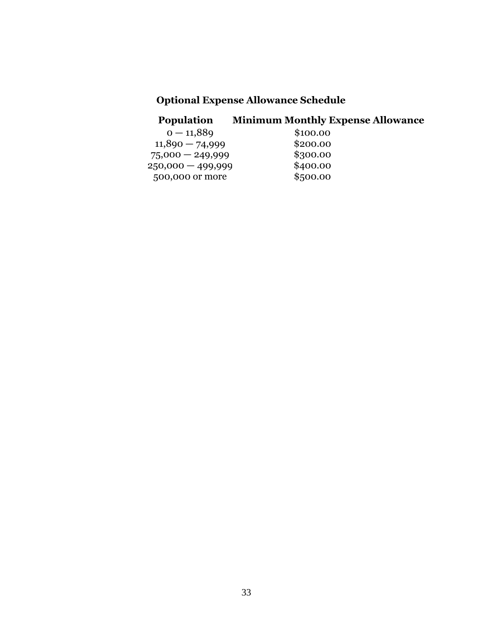## **Optional Expense Allowance Schedule**

## **Population Minimum Monthly Expense Allowance**

| $0 - 11,889$        | \$100.00 |
|---------------------|----------|
| $11,890 - 74,999$   | \$200.00 |
| $75,000 - 249,999$  | \$300.00 |
| $250,000 - 499,999$ | \$400.00 |
| 500,000 or more     | \$500.00 |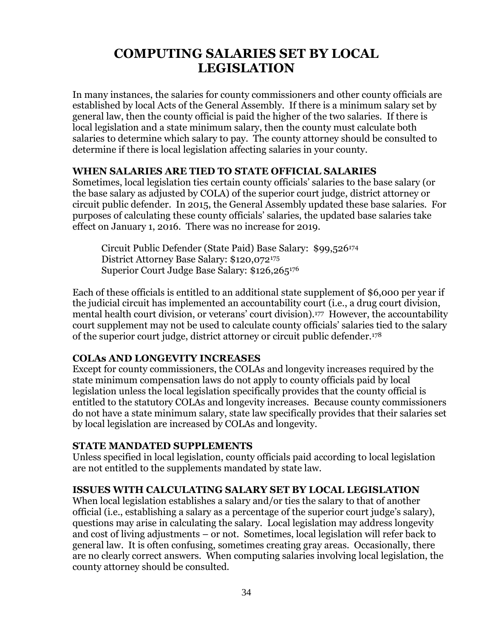## <span id="page-33-0"></span>**COMPUTING SALARIES SET BY LOCAL LEGISLATION**

In many instances, the salaries for county commissioners and other county officials are established by local Acts of the General Assembly. If there is a minimum salary set by general law, then the county official is paid the higher of the two salaries. If there is local legislation and a state minimum salary, then the county must calculate both salaries to determine which salary to pay. The county attorney should be consulted to determine if there is local legislation affecting salaries in your county.

#### **WHEN SALARIES ARE TIED TO STATE OFFICIAL SALARIES**

Sometimes, local legislation ties certain county officials' salaries to the base salary (or the base salary as adjusted by COLA) of the superior court judge, district attorney or circuit public defender. In 2015, the General Assembly updated these base salaries. For purposes of calculating these county officials' salaries, the updated base salaries take effect on January 1, 2016. There was no increase for 2019.

Circuit Public Defender (State Paid) Base Salary: \$99,526<sup>174</sup> District Attorney Base Salary: \$120,072<sup>175</sup> Superior Court Judge Base Salary: \$126,265<sup>176</sup>

Each of these officials is entitled to an additional state supplement of \$6,000 per year if the judicial circuit has implemented an accountability court (i.e., a drug court division, mental health court division, or veterans' court division). <sup>177</sup> However, the accountability court supplement may not be used to calculate county officials' salaries tied to the salary of the superior court judge, district attorney or circuit public defender.<sup>178</sup>

#### **COLAs AND LONGEVITY INCREASES**

Except for county commissioners, the COLAs and longevity increases required by the state minimum compensation laws do not apply to county officials paid by local legislation unless the local legislation specifically provides that the county official is entitled to the statutory COLAs and longevity increases. Because county commissioners do not have a state minimum salary, state law specifically provides that their salaries set by local legislation are increased by COLAs and longevity.

#### **STATE MANDATED SUPPLEMENTS**

Unless specified in local legislation, county officials paid according to local legislation are not entitled to the supplements mandated by state law.

#### **ISSUES WITH CALCULATING SALARY SET BY LOCAL LEGISLATION**

When local legislation establishes a salary and/or ties the salary to that of another official (i.e., establishing a salary as a percentage of the superior court judge's salary), questions may arise in calculating the salary. Local legislation may address longevity and cost of living adjustments – or not. Sometimes, local legislation will refer back to general law. It is often confusing, sometimes creating gray areas. Occasionally, there are no clearly correct answers. When computing salaries involving local legislation, the county attorney should be consulted.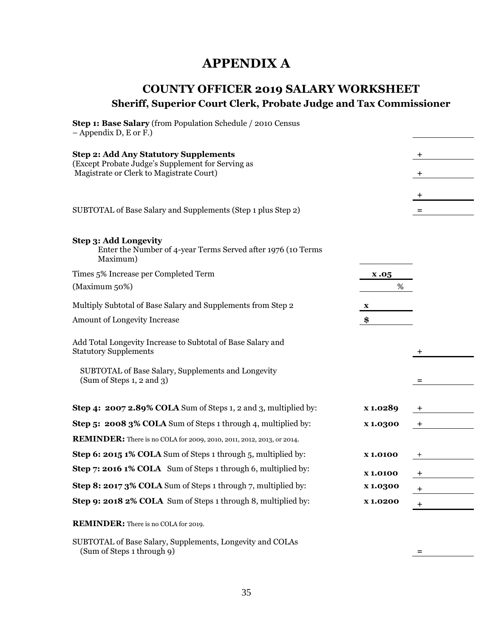## **APPENDIX A**

## <span id="page-34-1"></span><span id="page-34-0"></span>**COUNTY OFFICER 2019 SALARY WORKSHEET Sheriff, Superior Court Clerk, Probate Judge and Tax Commissioner**

| Step 1: Base Salary (from Population Schedule / 2010 Census<br>$-$ Appendix D, E or F.)           |                 |             |
|---------------------------------------------------------------------------------------------------|-----------------|-------------|
| <b>Step 2: Add Any Statutory Supplements</b>                                                      |                 | +           |
| (Except Probate Judge's Supplement for Serving as<br>Magistrate or Clerk to Magistrate Court)     |                 | $\mathbf +$ |
|                                                                                                   |                 | ÷           |
| SUBTOTAL of Base Salary and Supplements (Step 1 plus Step 2)                                      |                 | $=$         |
| Step 3: Add Longevity<br>Enter the Number of 4-year Terms Served after 1976 (10 Terms<br>Maximum) |                 |             |
| Times 5% Increase per Completed Term                                                              | x.05            |             |
| (Maximum 50%)                                                                                     | %               |             |
| Multiply Subtotal of Base Salary and Supplements from Step 2                                      | X               |             |
| Amount of Longevity Increase                                                                      | \$              |             |
| Add Total Longevity Increase to Subtotal of Base Salary and<br><b>Statutory Supplements</b>       |                 |             |
| SUBTOTAL of Base Salary, Supplements and Longevity<br>(Sum of Steps 1, 2 and 3)                   |                 |             |
| Step 4: 2007 2.89% COLA Sum of Steps 1, 2 and 3, multiplied by:                                   | x 1.0289        |             |
| Step 5: 2008 3% COLA Sum of Steps 1 through 4, multiplied by:                                     | x 1.0300        | $\ddot{}$   |
| REMINDER: There is no COLA for 2009, 2010, 2011, 2012, 2013, or 2014.                             |                 |             |
| Step 6: 2015 1% COLA Sum of Steps 1 through 5, multiplied by:                                     | <b>x1.0100</b>  |             |
| Step 7: 2016 1% COLA Sum of Steps 1 through 6, multiplied by:                                     | <b>x1.0100</b>  |             |
| Step 8: 2017 3% COLA Sum of Steps 1 through 7, multiplied by:                                     | <b>x</b> 1.0300 | +           |
| Step 9: 2018 2% COLA Sum of Steps 1 through 8, multiplied by:                                     | <b>X1.0200</b>  | $\ddot{}$   |
| <b>REMINDER:</b> There is no COLA for 2019.                                                       |                 |             |

SUBTOTAL of Base Salary, Supplements, Longevity and COLAs (Sum of Steps 1 through 9) **=**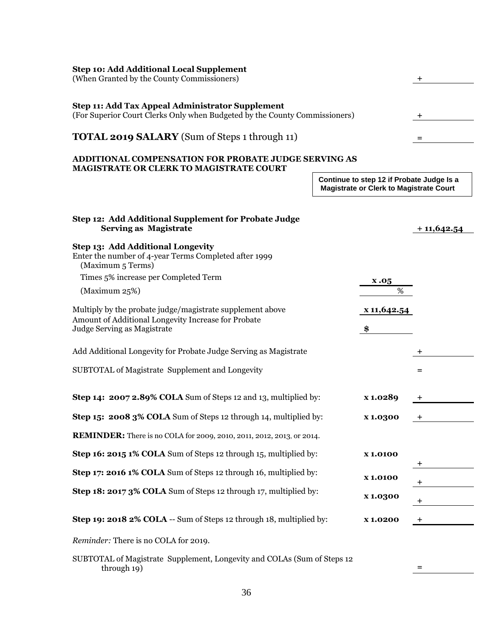| <b>Step 10: Add Additional Local Supplement</b><br>(When Granted by the County Commissioners)                                                   |                                                                                             | $\pm$          |
|-------------------------------------------------------------------------------------------------------------------------------------------------|---------------------------------------------------------------------------------------------|----------------|
| Step 11: Add Tax Appeal Administrator Supplement<br>(For Superior Court Clerks Only when Budgeted by the County Commissioners)                  |                                                                                             | +              |
| <b>TOTAL 2019 SALARY</b> (Sum of Steps 1 through 11)                                                                                            |                                                                                             |                |
| <b>ADDITIONAL COMPENSATION FOR PROBATE JUDGE SERVING AS</b><br>MAGISTRATE OR CLERK TO MAGISTRATE COURT                                          |                                                                                             |                |
|                                                                                                                                                 | Continue to step 12 if Probate Judge Is a<br><b>Magistrate or Clerk to Magistrate Court</b> |                |
| Step 12: Add Additional Supplement for Probate Judge<br><b>Serving as Magistrate</b>                                                            |                                                                                             | $+11,642.54$   |
| Step 13: Add Additional Longevity<br>Enter the number of 4-year Terms Completed after 1999<br>(Maximum 5 Terms)                                 |                                                                                             |                |
| Times 5% increase per Completed Term                                                                                                            | x.05                                                                                        |                |
| (Maximum 25%)                                                                                                                                   | $\%$                                                                                        |                |
| Multiply by the probate judge/magistrate supplement above<br>Amount of Additional Longevity Increase for Probate<br>Judge Serving as Magistrate | x 11,642.54<br>\$                                                                           |                |
| Add Additional Longevity for Probate Judge Serving as Magistrate                                                                                |                                                                                             | $\ddot{}$      |
| SUBTOTAL of Magistrate Supplement and Longevity                                                                                                 |                                                                                             | $=$            |
| Step 14: 2007 2.89% COLA Sum of Steps 12 and 13, multiplied by:                                                                                 | x 1.0289                                                                                    | $\overline{+}$ |
| Step 15: 2008 3% COLA Sum of Steps 12 through 14, multiplied by:                                                                                | x 1.0300                                                                                    | +              |
| <b>REMINDER:</b> There is no COLA for 2009, 2010, 2011, 2012, 2013, or 2014.                                                                    |                                                                                             |                |
| Step 16: 2015 1% COLA Sum of Steps 12 through 15, multiplied by:                                                                                | <b>X1.0100</b>                                                                              |                |
| Step 17: 2016 1% COLA Sum of Steps 12 through 16, multiplied by:                                                                                | <b>X1.0100</b>                                                                              |                |
| Step 18: 2017 3% COLA Sum of Steps 12 through 17, multiplied by:                                                                                | x 1.0300                                                                                    | +              |
| Step 19: 2018 2% COLA -- Sum of Steps 12 through 18, multiplied by:                                                                             | <b>X1.0200</b>                                                                              | $+$            |
| Reminder: There is no COLA for 2019.                                                                                                            |                                                                                             |                |
|                                                                                                                                                 |                                                                                             |                |

SUBTOTAL of Magistrate Supplement, Longevity and COLAs (Sum of Steps 12 through 19) **=**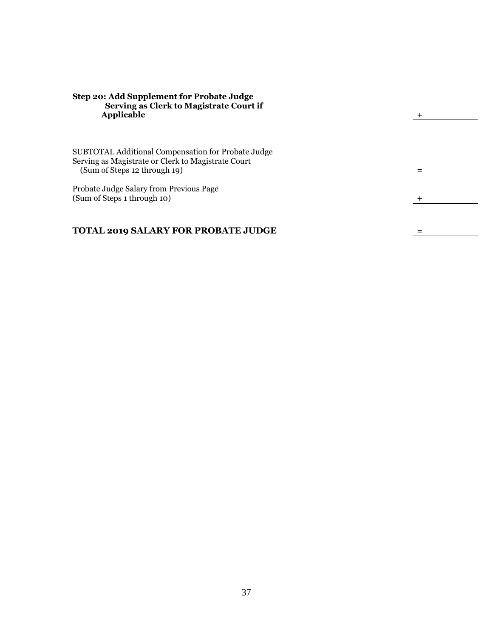#### **Step 20: Add Supplement for Probate Judge Serving as Clerk to Magistrate Court if Applicable +**

SUBTOTAL Additional Compensation for Probate Judge Serving as Magistrate or Clerk to Magistrate Court (Sum of Steps 12 through 19) **=**

Probate Judge Salary from Previous Page (Sum of Steps 1 through 10) **+**

#### **TOTAL 2019 SALARY FOR PROBATE JUDGE =**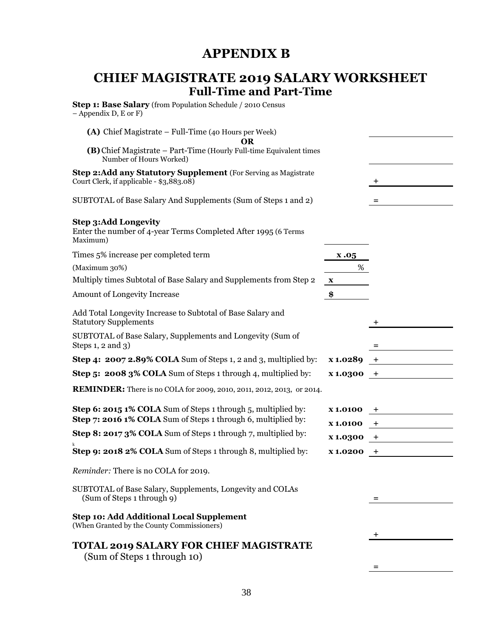## **APPENDIX B**

## <span id="page-37-1"></span><span id="page-37-0"></span>**CHIEF MAGISTRATE 2019 SALARY WORKSHEET Full-Time and Part-Time**

|                | $\pm$                                                                                                                                                                    |
|----------------|--------------------------------------------------------------------------------------------------------------------------------------------------------------------------|
|                | $=$                                                                                                                                                                      |
|                |                                                                                                                                                                          |
| x.05           |                                                                                                                                                                          |
| %              |                                                                                                                                                                          |
| $\mathbf{X}$   |                                                                                                                                                                          |
|                |                                                                                                                                                                          |
|                |                                                                                                                                                                          |
|                | =                                                                                                                                                                        |
| x 1.0289       | $^+$                                                                                                                                                                     |
|                |                                                                                                                                                                          |
|                |                                                                                                                                                                          |
| <b>X1.0100</b> | +                                                                                                                                                                        |
| <b>X1.0100</b> | $+$                                                                                                                                                                      |
| x 1.0300       | $+$                                                                                                                                                                      |
| <b>X1.0200</b> | $+$                                                                                                                                                                      |
|                |                                                                                                                                                                          |
|                | $=$                                                                                                                                                                      |
|                |                                                                                                                                                                          |
|                | +                                                                                                                                                                        |
|                |                                                                                                                                                                          |
|                | (B) Chief Magistrate – Part-Time (Hourly Full-time Equivalent times<br>\$<br>$x1.0300 +$<br><b>REMINDER:</b> There is no COLA for 2009, 2010, 2011, 2012, 2013, or 2014. |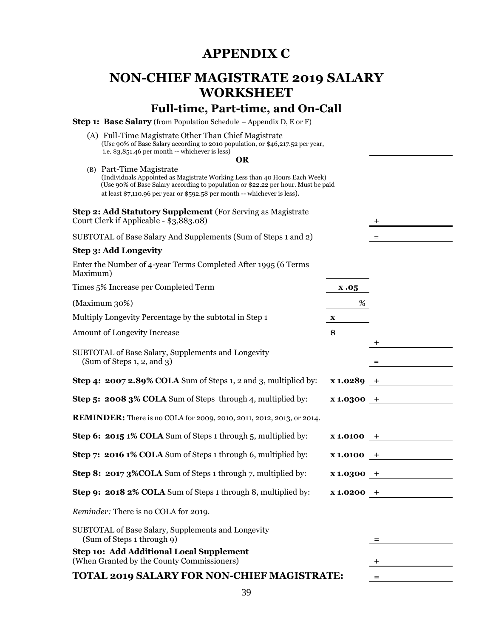## **APPENDIX C**

## <span id="page-38-1"></span><span id="page-38-0"></span>**NON-CHIEF MAGISTRATE 2019 SALARY WORKSHEET**

## **Full-time, Part-time, and On-Call**

**Step 1: Base Salary** (from Population Schedule – Appendix D, E or F)

(A) Full-Time Magistrate Other Than Chief Magistrate (Use 90% of Base Salary according to 2010 population, or \$46,217.52 per year, i.e. \$3,851.46 per month -- whichever is less)

#### **OR**

**+**

(B) Part-Time Magistrate (Individuals Appointed as Magistrate Working Less than 40 Hours Each Week) (Use 90% of Base Salary according to population or \$22.22 per hour. Must be paid at least \$7,110.96 per year or \$592.58 per month -- whichever is less).

**Step 2: Add Statutory Supplement** (For Serving as Magistrate Court Clerk if Applicable - \$3,883.08) **+**

| SUBTOTAL of Base Salary And Supplements (Sum of Steps 1 and 2) |  |
|----------------------------------------------------------------|--|
|----------------------------------------------------------------|--|

#### **Step 3: Add Longevity**

|          | Enter the Number of 4-year Terms Completed After 1995 (6 Terms |  |
|----------|----------------------------------------------------------------|--|
| Maximum) |                                                                |  |

Times 5% Increase per Completed Term **x .05**

 $(Maximum 30%)$   $\qquad \qquad \alpha$ 

Multiply Longevity Percentage by the subtotal in Step 1 **x**

Amount of Longevity Increase **\$**

SUBTOTAL of Base Salary, Supplements and Longevity  $(\text{Sum of Steps 1, 2, and 3})$  =

**Step 4: 2007 2.89% COLA** Sum of Steps 1, 2 and 3, multiplied by: **x 1.0289 +**

**Step 5: 2008 3% COLA** Sum of Steps through 4, multiplied by: **x 1.0300 +**

**REMINDER:** There is no COLA for 2009, 2010, 2011, 2012, 2013, or 2014.

**Step 6: 2015 1% COLA** Sum of Steps 1 through 5, multiplied by: **x 1.0100 +**

**Step 7: 2016 1% COLA** Sum of Steps 1 through 6, multiplied by: **x 1.0100 +**

**Step 8: 2017 3%COLA** Sum of Steps 1 through 7, multiplied by: **x 1.0300 +**

**Step 9: 2018 2% COLA** Sum of Steps 1 through 8, multiplied by: **x 1.0200 +**

*Reminder:* There is no COLA for 2019.

SUBTOTAL of Base Salary, Supplements and Longevity (Sum of Steps 1 through 9) **=**

**Step 10: Add Additional Local Supplement** (When Granted by the County Commissioners) **+**

#### **TOTAL 2019 SALARY FOR NON-CHIEF MAGISTRATE: =**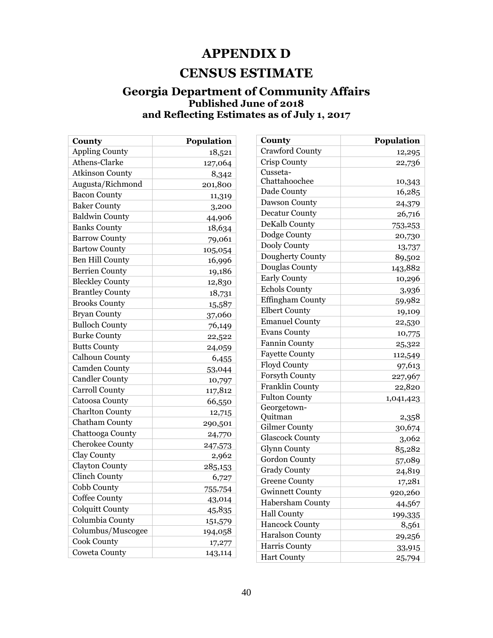## **APPENDIX D**

## **CENSUS ESTIMATE**

### <span id="page-39-1"></span><span id="page-39-0"></span>**Georgia Department of Community Affairs Published June of 2018 and Reflecting Estimates as of July 1, 2017**

| County                 | Population |
|------------------------|------------|
| <b>Appling County</b>  | 18,521     |
| Athens-Clarke          | 127,064    |
| <b>Atkinson County</b> | 8,342      |
| Augusta/Richmond       | 201,800    |
| <b>Bacon County</b>    | 11,319     |
| <b>Baker County</b>    | 3,200      |
| <b>Baldwin County</b>  | 44,906     |
| <b>Banks County</b>    | 18,634     |
| <b>Barrow County</b>   | 79,061     |
| <b>Bartow County</b>   | 105,054    |
| <b>Ben Hill County</b> | 16,996     |
| <b>Berrien County</b>  | 19,186     |
| <b>Bleckley County</b> | 12,830     |
| <b>Brantley County</b> | 18,731     |
| <b>Brooks County</b>   | 15,587     |
| <b>Bryan County</b>    | 37,060     |
| <b>Bulloch County</b>  | 76,149     |
| <b>Burke County</b>    | 22,522     |
| <b>Butts County</b>    | 24,059     |
| Calhoun County         | 6,455      |
| <b>Camden County</b>   | 53,044     |
| Candler County         | 10,797     |
| <b>Carroll County</b>  | 117,812    |
| <b>Catoosa County</b>  | 66,550     |
| <b>Charlton County</b> | 12,715     |
| Chatham County         | 290,501    |
| Chattooga County       | 24,770     |
| <b>Cherokee County</b> | 247,573    |
| Clay County            | 2,962      |
| <b>Clayton County</b>  | 285,153    |
| <b>Clinch County</b>   | 6,727      |
| Cobb County            | 755,754    |
| Coffee County          | 43,014     |
| Colquitt County        | 45,835     |
| Columbia County        | 151,579    |
| Columbus/Muscogee      | 194,058    |
| <b>Cook County</b>     | 17,277     |
| <b>Coweta County</b>   | 143,114    |

| County                  | Population |
|-------------------------|------------|
| <b>Crawford County</b>  | 12,295     |
| Crisp County            | 22,736     |
| Cusseta-                |            |
| Chattahoochee           | 10,343     |
| Dade County             | 16,285     |
| Dawson County           | 24,379     |
| <b>Decatur County</b>   | 26,716     |
| DeKalb County           | 753,253    |
| Dodge County            | 20,730     |
| Dooly County            | 13,737     |
| Dougherty County        | 89,502     |
| Douglas County          | 143,882    |
| <b>Early County</b>     | 10,296     |
| <b>Echols County</b>    | 3,936      |
| <b>Effingham County</b> | 59,982     |
| <b>Elbert County</b>    | 19,109     |
| <b>Emanuel County</b>   | 22,530     |
| <b>Evans County</b>     | 10,775     |
| <b>Fannin County</b>    | 25,322     |
| <b>Fayette County</b>   | 112,549    |
| Floyd County            | 97,613     |
| Forsyth County          | 227,967    |
| Franklin County         | 22,820     |
| <b>Fulton County</b>    | 1,041,423  |
| Georgetown-             |            |
| Quitman                 | 2,358      |
| <b>Gilmer County</b>    | 30,674     |
| <b>Glascock County</b>  | 3,062      |
| Glynn County            | 85,282     |
| <b>Gordon County</b>    | 57,089     |
| <b>Grady County</b>     | 24,819     |
| <b>Greene County</b>    | 17,281     |
| <b>Gwinnett County</b>  | 920,260    |
| Habersham County        | 44,567     |
| <b>Hall County</b>      | 199,335    |
| <b>Hancock County</b>   | 8,561      |
| Haralson County         | 29,256     |
| Harris County           | 33,915     |
| <b>Hart County</b>      | 25,794     |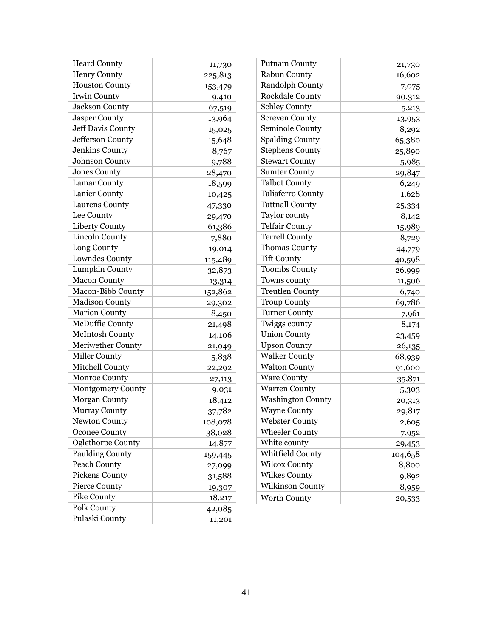| <b>Heard County</b>      | 11,730  |
|--------------------------|---------|
| <b>Henry County</b>      | 225,813 |
| <b>Houston County</b>    | 153,479 |
| Irwin County             | 9,410   |
| <b>Jackson County</b>    | 67,519  |
| <b>Jasper County</b>     | 13,964  |
| Jeff Davis County        | 15,025  |
| Jefferson County         | 15,648  |
| Jenkins County           | 8,767   |
| Johnson County           | 9,788   |
| <b>Jones County</b>      | 28,470  |
| Lamar County             | 18,599  |
| Lanier County            | 10,425  |
| <b>Laurens County</b>    | 47,330  |
| Lee County               | 29,470  |
| <b>Liberty County</b>    | 61,386  |
| <b>Lincoln County</b>    | 7,880   |
| Long County              | 19,014  |
| Lowndes County           | 115,489 |
| Lumpkin County           | 32,873  |
| <b>Macon County</b>      | 13,314  |
| Macon-Bibb County        | 152,862 |
| <b>Madison County</b>    | 29,302  |
| <b>Marion County</b>     | 8,450   |
| <b>McDuffie County</b>   | 21,498  |
| <b>McIntosh County</b>   | 14,106  |
| <b>Meriwether County</b> | 21,049  |
| Miller County            | 5,838   |
| Mitchell County          | 22,292  |
| <b>Monroe County</b>     | 27,113  |
| <b>Montgomery County</b> | 9,031   |
| <b>Morgan County</b>     | 18,412  |
| Murray County            | 37,782  |
| <b>Newton County</b>     | 108,078 |
| <b>Oconee County</b>     | 38,028  |
| Oglethorpe County        | 14,877  |
| <b>Paulding County</b>   | 159,445 |
| <b>Peach County</b>      | 27,099  |
| Pickens County           | 31,588  |
| Pierce County            | 19,307  |
| Pike County              | 18,217  |
| Polk County              | 42,085  |
| Pulaski County           | 11,201  |

| <b>Putnam County</b>     | 21,730  |
|--------------------------|---------|
| Rabun County             | 16,602  |
| Randolph County          | 7,075   |
| <b>Rockdale County</b>   | 90,312  |
| Schley County            | 5,213   |
| <b>Screven County</b>    | 13,953  |
| Seminole County          | 8,292   |
| <b>Spalding County</b>   | 65,380  |
| <b>Stephens County</b>   | 25,890  |
| <b>Stewart County</b>    | 5,985   |
| <b>Sumter County</b>     | 29,847  |
| <b>Talbot County</b>     | 6,249   |
| Taliaferro County        | 1,628   |
| <b>Tattnall County</b>   | 25,334  |
| Taylor county            | 8,142   |
| <b>Telfair County</b>    | 15,989  |
| <b>Terrell County</b>    | 8,729   |
| <b>Thomas County</b>     | 44,779  |
| <b>Tift County</b>       | 40,598  |
| <b>Toombs County</b>     | 26,999  |
| Towns county             | 11,506  |
| <b>Treutlen County</b>   | 6,740   |
| <b>Troup County</b>      | 69,786  |
| <b>Turner County</b>     | 7,961   |
| Twiggs county            | 8,174   |
| <b>Union County</b>      | 23,459  |
| <b>Upson County</b>      | 26,135  |
| <b>Walker County</b>     | 68,939  |
| <b>Walton County</b>     | 91,600  |
| <b>Ware County</b>       | 35,871  |
| <b>Warren County</b>     | 5,303   |
| <b>Washington County</b> | 20,313  |
| <b>Wayne County</b>      | 29,817  |
| Webster County           | 2,605   |
| <b>Wheeler County</b>    | 7,952   |
| White county             | 29,453  |
| Whitfield County         | 104,658 |
| <b>Wilcox County</b>     | 8,800   |
| <b>Wilkes County</b>     | 9,892   |
| Wilkinson County         | 8,959   |
| <b>Worth County</b>      | 20,533  |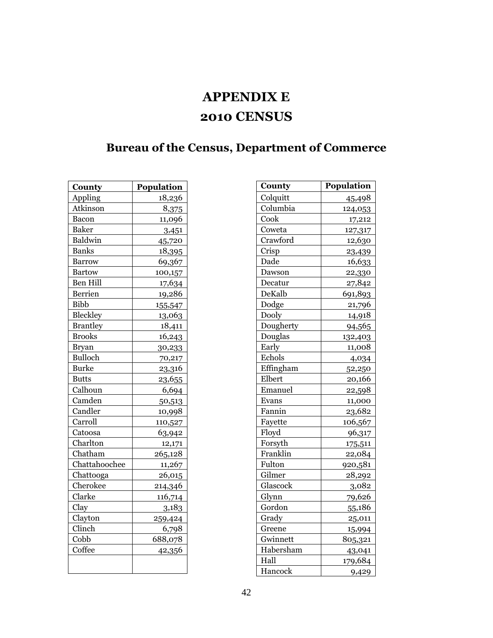## **APPENDIX E 2010 CENSUS**

## <span id="page-41-1"></span><span id="page-41-0"></span>**Bureau of the Census, Department of Commerce**

| County          | Population |
|-----------------|------------|
| Appling         | 18,236     |
| Atkinson        | 8,375      |
| Bacon           | 11,096     |
| <b>Baker</b>    | 3,451      |
| Baldwin         | 45,720     |
| <b>Banks</b>    | 18,395     |
| <b>Barrow</b>   | 69,367     |
| <b>Bartow</b>   | 100,157    |
| Ben Hill        | 17,634     |
| Berrien         | 19,286     |
| <b>Bibb</b>     | 155,547    |
| Bleckley        | 13,063     |
| <b>Brantley</b> | 18,411     |
| <b>Brooks</b>   | 16,243     |
| <b>Bryan</b>    | 30,233     |
| <b>Bulloch</b>  | 70,217     |
| <b>Burke</b>    | 23,316     |
| <b>Butts</b>    | 23,655     |
| Calhoun         | 6,694      |
| Camden          | 50,513     |
| Candler         | 10,998     |
| Carroll         | 110,527    |
| Catoosa         | 63,942     |
| Charlton        | 12,171     |
| Chatham         | 265,128    |
| Chattahoochee   | 11,267     |
| Chattooga       | 26,015     |
| Cherokee        | 214,346    |
| Clarke          | 116,714    |
| Clay            | 3,183      |
| Clayton         | 259,424    |
| Clinch          | 6,798      |
| Cobb            | 688,078    |
| Coffee          | 42,356     |
|                 |            |

| County    | <b>Population</b> |
|-----------|-------------------|
|           |                   |
| Colquitt  | 45,498            |
| Columbia  | 124,053           |
| Cook      | 17,212            |
| Coweta    | 127,317           |
| Crawford  | 12,630            |
| Crisp     | 23,439            |
| Dade      | 16,633            |
| Dawson    | 22,330            |
| Decatur   | 27,842            |
| DeKalb    | 691,893           |
| Dodge     | 21,796            |
| Dooly     | 14,918            |
| Dougherty | 94,565            |
| Douglas   | 132,403           |
| Early     | 11,008            |
| Echols    | 4,034             |
| Effingham | 52,250            |
| Elbert    | 20,166            |
| Emanuel   | 22,598            |
| Evans     | 11,000            |
| Fannin    | 23,682            |
| Fayette   | 106,567           |
| Floyd     | 96,317            |
| Forsyth   | 175,511           |
| Franklin  | 22,084            |
| Fulton    | 920,581           |
| Gilmer    | 28,292            |
| Glascock  | 3,082             |
| Glynn     | 79,626            |
| Gordon    | 55,186            |
| Grady     | 25,011            |
| Greene    | 15,994            |
| Gwinnett  | 805,321           |
| Habersham | 43,041            |
| Hall      | 179,684           |
| Hancock   | 9,429             |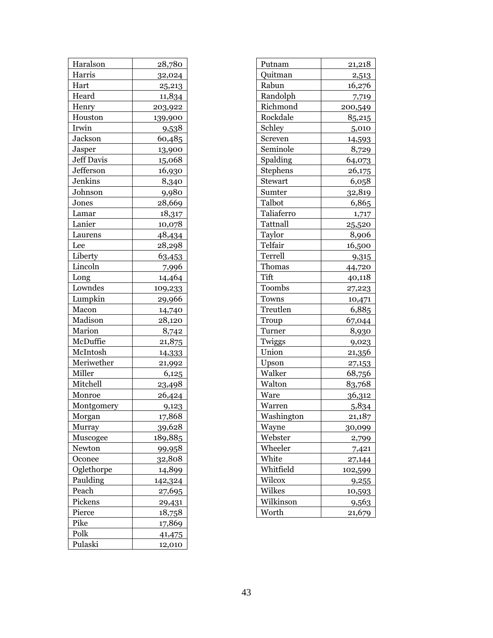| Haralson          | 28,780  |
|-------------------|---------|
| Harris            | 32,024  |
| Hart              | 25,213  |
| Heard             | 11,834  |
| Henry             | 203,922 |
| Houston           | 139,900 |
| Irwin             | 9,538   |
| Jackson           | 60,485  |
| Jasper            | 13,900  |
| <b>Jeff Davis</b> | 15,068  |
| Jefferson         | 16,930  |
| Jenkins           | 8,340   |
| Johnson           | 9,980   |
| Jones             | 28,669  |
| Lamar             | 18,317  |
| Lanier            | 10,078  |
| Laurens           | 48,434  |
| Lee               | 28,298  |
| Liberty           | 63,453  |
| Lincoln           | 7,996   |
| Long              | 14,464  |
| Lowndes           | 109,233 |
| Lumpkin           | 29,966  |
| Macon             | 14,740  |
| Madison           | 28,120  |
| Marion            | 8,742   |
| McDuffie          | 21,875  |
| McIntosh          | 14,333  |
| Meriwether        | 21,992  |
| Miller            | 6,125   |
| Mitchell          | 23,498  |
| Monroe            | 26,424  |
| Montgomery        | 9,123   |
| Morgan            | 17,868  |
| Murray            | 39,628  |
| Muscogee          | 189,885 |
| Newton            | 99,958  |
| Oconee            | 32,808  |
| Oglethorpe        | 14,899  |
| Paulding          | 142,324 |
| Peach             | 27,695  |
| Pickens           | 29,431  |
| Pierce            | 18,758  |
| Pike              | 17,869  |
| Polk              | 41,475  |
| Pulaski           | 12,010  |

<span id="page-42-0"></span>

| Putnam     | 21,218       |
|------------|--------------|
| Quitman    | 2,513        |
| Rabun      | 16,276       |
| Randolph   | 7,719        |
| Richmond   | 200,549      |
| Rockdale   | 85,215       |
| Schley     | 5,010        |
| Screven    | 14,593       |
| Seminole   | 8,729        |
| Spalding   | 64,073       |
| Stephens   | 26,175       |
| Stewart    | 6,058        |
| Sumter     | 32,819       |
| Talbot     | 6,865        |
| Taliaferro | 1,717        |
| Tattnall   | 25,520       |
| Taylor     | 8,906        |
| Telfair    | 16,500       |
| Terrell    | 9,315        |
| Thomas     | 44,720       |
| Tift       | 40,118       |
| Toombs     | 27,223       |
| Towns      | 10,471       |
| Treutlen   | 6,885        |
| Troup      | 67,044       |
| Turner     | 8,930        |
| Twiggs     | 9,023        |
| Union      | 21,356       |
| Upson      | 27,153       |
| Walker     | 68,756       |
| Walton     | 83,768       |
| Ware       | 36,312       |
| Warren     | 5,834        |
| Washington | 21.187       |
| Wayne      | 30,099       |
| Webster    | 2,799        |
| Wheeler    | 7,421        |
| White      | 27,144       |
| Whitfield  | 102,599      |
| Wilcox     | <u>9,255</u> |
| Wilkes     | 10,593       |
| Wilkinson  | 9,563        |
| Worth      | 21,679       |
|            |              |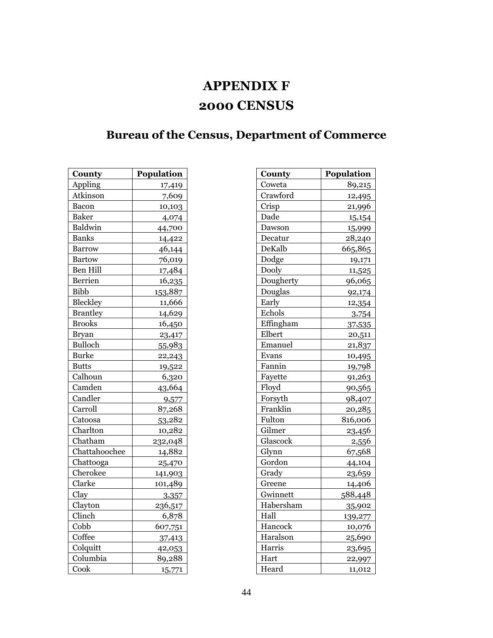## **APPENDIX F 2000 CENSUS**

## <span id="page-43-1"></span><span id="page-43-0"></span>**Bureau of the Census, Department of Commerce**

| County          | Population |
|-----------------|------------|
| Appling         | 17,419     |
| Atkinson        | 7,609      |
| Bacon           | 10,103     |
| <b>Baker</b>    | 4,074      |
| Baldwin         | 44,700     |
| <b>Banks</b>    | 14,422     |
| <b>Barrow</b>   | 46,144     |
| <b>Bartow</b>   | 76,019     |
| <b>Ben Hill</b> | 17,484     |
| <b>Berrien</b>  | 16,235     |
| <b>Bibb</b>     | 153,887    |
| <b>Bleckley</b> | 11,666     |
| <b>Brantley</b> | 14,629     |
| <b>Brooks</b>   | 16,450     |
| <b>Bryan</b>    | 23,417     |
| <b>Bulloch</b>  | 55,983     |
| <b>Burke</b>    | 22,243     |
| <b>Butts</b>    | 19,522     |
| Calhoun         | 6,320      |
| Camden          | 43,664     |
| Candler         | 9,577      |
| Carroll         | 87,268     |
| Catoosa         | 53,282     |
| Charlton        | 10,282     |
| Chatham         | 232,048    |
| Chattahoochee   | 14,882     |
| Chattooga       | 25,470     |
| Cherokee        | 141,903    |
| Clarke          | 101,489    |
| Clay            | 3,357      |
| Clayton         | 236,517    |
| Clinch          | 6,878      |
| Cobb            | 607,751    |
| Coffee          | 37,413     |
| Colquitt        | 42,053     |
| Columbia        | 89,288     |
| Cook            | 15,771     |

| County    | Population |
|-----------|------------|
| Coweta    | 89,215     |
| Crawford  | 12,495     |
| Crisp     | 21,996     |
| Dade      | 15,154     |
| Dawson    | 15,999     |
| Decatur   | 28,240     |
| DeKalb    | 665,865    |
| Dodge     | 19,171     |
| Dooly     | 11,525     |
| Dougherty | 96,065     |
| Douglas   | 92,174     |
| Early     | 12,354     |
| Echols    | 3,754      |
| Effingham | 37,535     |
| Elbert    | 20,511     |
| Emanuel   | 21,837     |
| Evans     | 10,495     |
| Fannin    | 19,798     |
| Fayette   | 91,263     |
| Floyd     | 90,565     |
| Forsyth   | 98,407     |
| Franklin  | 20,285     |
| Fulton    | 816,006    |
| Gilmer    | 23,456     |
| Glascock  | 2,556      |
| Glynn     | 67,568     |
| Gordon    | 44,104     |
| Grady     | 23,659     |
| Greene    | 14,406     |
| Gwinnett  | 588,448    |
| Habersham | 35,902     |
| Hall      | 139,277    |
| Hancock   | 10,076     |
| Haralson  | 25,690     |
| Harris    | 23,695     |
| Hart      | 22,997     |
| Heard     | 11,012     |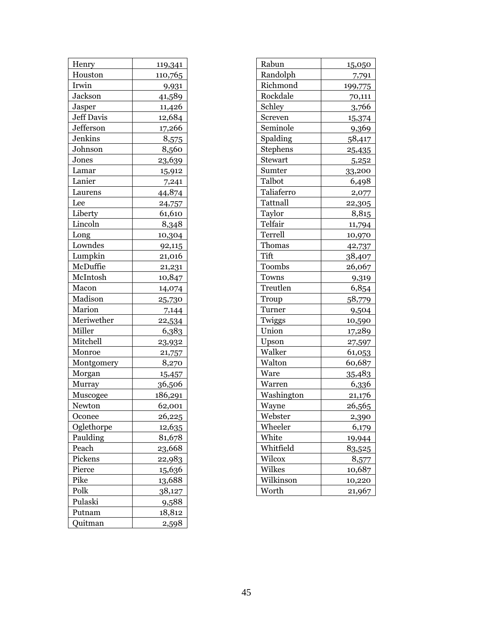| Henry      | 119,341 |
|------------|---------|
| Houston    | 110,765 |
| Irwin      | 9,931   |
| Jackson    | 41,589  |
| Jasper     | 11,426  |
| Jeff Davis | 12,684  |
| Jefferson  | 17,266  |
| Jenkins    | 8,575   |
| Johnson    | 8,560   |
| Jones      | 23,639  |
| Lamar      | 15,912  |
| Lanier     | 7,241   |
| Laurens    | 44,874  |
| Lee        | 24,757  |
| Liberty    | 61,610  |
| Lincoln    | 8,348   |
| Long       | 10,304  |
| Lowndes    | 92,115  |
| Lumpkin    | 21,016  |
| McDuffie   | 21,231  |
| McIntosh   | 10,847  |
| Macon      | 14,074  |
| Madison    | 25,730  |
| Marion     | 7,144   |
| Meriwether | 22,534  |
| Miller     | 6,383   |
| Mitchell   | 23,932  |
| Monroe     | 21,757  |
| Montgomery | 8,270   |
| Morgan     | 15,457  |
| Murray     | 36,506  |
| Muscogee   | 186,291 |
| Newton     | 62,001  |
| Oconee     | 26,225  |
| Oglethorpe | 12,635  |
| Paulding   | 81,678  |
| Peach      | 23,668  |
| Pickens    | 22,983  |
| Pierce     | 15,636  |
| Pike       | 13,688  |
| Polk       | 38,127  |
| Pulaski    | 9,588   |
| Putnam     | 18,812  |
| Quitman    | 2,598   |

| Rabun      | 15,050  |
|------------|---------|
| Randolph   | 7,791   |
| Richmond   | 199,775 |
| Rockdale   | 70,111  |
| Schley     | 3,766   |
| Screven    | 15,374  |
| Seminole   | 9,369   |
| Spalding   | 58,417  |
| Stephens   | 25,435  |
| Stewart    | 5,252   |
| Sumter     | 33,200  |
| Talbot     | 6,498   |
| Taliaferro | 2,077   |
| Tattnall   | 22,305  |
| Taylor     | 8,815   |
| Telfair    | 11,794  |
| Terrell    | 10,970  |
| Thomas     | 42,737  |
| Tift       | 38,407  |
| Toombs     | 26,067  |
| Towns      | 9,319   |
| Treutlen   | 6,854   |
| Troup      | 58,779  |
| Turner     | 9,504   |
| Twiggs     | 10,590  |
| Union      | 17,289  |
| Upson      | 27,597  |
| Walker     | 61,053  |
| Walton     | 60,687  |
| Ware       | 35,483  |
| Warren     | 6,336   |
| Washington | 21,176  |
| Wayne      | 26,565  |
| Webster    | 2.390   |
| Wheeler    | 6,179   |
| White      | 19,944  |
| Whitfield  | 83,525  |
| Wilcox     | 8,577   |
| Wilkes     | 10,687  |
| Wilkinson  | 10,220  |
| Worth      | 21,967  |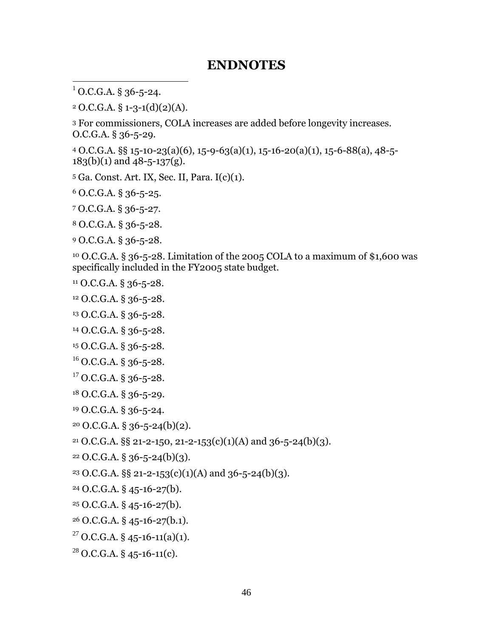## **ENDNOTES**

O.C.G.A. § 36-5-24.

<span id="page-45-0"></span> $\overline{a}$ 

O.C.G.A. § 1-3-1(d)(2)(A).

 For commissioners, COLA increases are added before longevity increases. O.C.G.A. § 36-5-29.

 $4 \text{ O.C.G.A. }$ §§ 15-10-23(a)(6), 15-9-63(a)(1), 15-16-20(a)(1), 15-6-88(a), 48-5- $183(b)(1)$  and  $48-5-137(g)$ .

Ga. Const. Art. IX, Sec. II, Para. I(c)(1).

O.C.G.A. § 36-5-25.

O.C.G.A. § 36-5-27.

O.C.G.A. § 36-5-28.

O.C.G.A. § 36-5-28.

 O.C.G.A. § 36-5-28. Limitation of the 2005 COLA to a maximum of \$1,600 was specifically included in the FY2005 state budget.

O.C.G.A. § 36-5-28.

O.C.G.A. § 36-5-28.

O.C.G.A. § 36-5-28.

O.C.G.A. § 36-5-28.

O.C.G.A. § 36-5-28.

O.C.G.A. § 36-5-28.

O.C.G.A. § 36-5-28.

O.C.G.A. § 36-5-29.

O.C.G.A. § 36-5-24.

O.C.G.A. § 36-5-24(b)(2).

<sup>21</sup> O.C.G.A. §§ 21-2-150, 21-2-153(c)(1)(A) and 36-5-24(b)(3).

O.C.G.A. § 36-5-24(b)(3).

<sup>23</sup> O.C.G.A. §§ 21-2-153(c)(1)(A) and 36-5-24(b)(3).

O.C.G.A. § 45-16-27(b).

O.C.G.A. § 45-16-27(b).

O.C.G.A. § 45-16-27(b.1).

<sup>27</sup> O.C.G.A. § 45-16-11(a)(1).

O.C.G.A. § 45-16-11(c).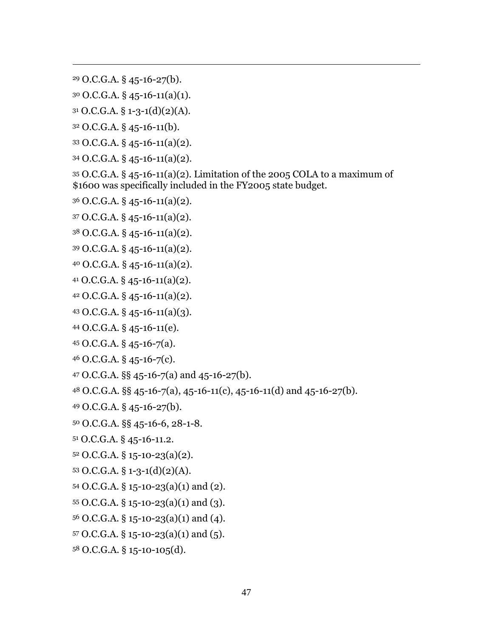O.C.G.A. § 45-16-27(b).

 $\overline{a}$ 

O.C.G.A. § 45-16-11(a)(1).

O.C.G.A. § 1-3-1(d)(2)(A).

O.C.G.A. § 45-16-11(b).

```
33 O.C.G.A. § 45-16-11(a)(2).
```

```
34 O.C.G.A. § 45-16-11(a)(2).
```
 O.C.G.A.  $\S$  45-16-11(a)(2). Limitation of the 2005 COLA to a maximum of \$1600 was specifically included in the FY2005 state budget.

```
36 O.C.G.A. § 45-16-11(a)(2).
```

```
37 O.C.G.A. § 45-16-11(a)(2).
```
O.C.G.A. § 45-16-11(a)(2).

O.C.G.A. § 45-16-11(a)(2).

O.C.G.A. § 45-16-11(a)(2).

```
41 O.C.G.A. § 45-16-11(a)(2).
```
O.C.G.A. § 45-16-11(a)(2).

O.C.G.A. § 45-16-11(a)(3).

O.C.G.A. § 45-16-11(e).

```
45 O.C.G.A. § 45-16-7(a).
```

```
46 O.C.G.A. § 45-16-7(c).
```

```
47 \text{ O.C.G.A. }§§ 45 - 16 - 7(a) and 45 - 16 - 27(b).
```
O.C.G.A. §§ 45-16-7(a), 45-16-11(c), 45-16-11(d) and 45-16-27(b).

O.C.G.A. § 45-16-27(b).

```
50 O.C.G.A. §§ 45-16-6, 28-1-8.
```
O.C.G.A. § 45-16-11.2.

```
52 O.C.G.A. § 15-10-23(a)(2).
```

```
53 O.C.G.A. § 1-3-1(d)(2)(A).
```

```
54 O.C.G.A. § 15-10-23(a)(1) and (2).
```

```
55 O.C.G.A. \S 15-10-23(a)(1) and (3).
```

```
56 O.C.G.A. § 15-10-23(a)(1) and (4).
```

```
57 O.C.G.A. § 15-10-23(a)(1) and (5).
```
O.C.G.A. § 15-10-105(d).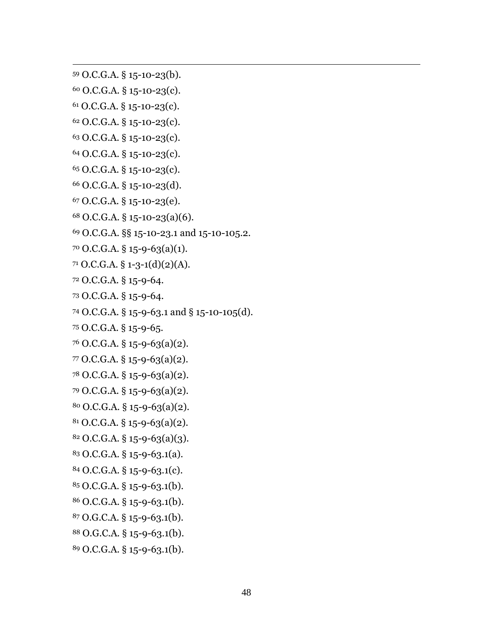```
59 O.C.G.A. § 15-10-23(b).
```
 $\overline{a}$ 

- O.C.G.A. § 15-10-23(c).
- O.C.G.A. § 15-10-23(c).
- O.C.G.A. § 15-10-23(c).
- O.C.G.A. § 15-10-23(c).
- O.C.G.A. § 15-10-23(c).
- O.C.G.A. § 15-10-23(c).
- O.C.G.A. § 15-10-23(d).
- O.C.G.A. § 15-10-23(e).
- O.C.G.A. § 15-10-23(a)(6).
- O.C.G.A. §§ 15-10-23.1 and 15-10-105.2.
- O.C.G.A. § 15-9-63(a)(1).
- $71 \text{ O.C.G.A. } $1-3-1(d)(2)(A).$
- O.C.G.A. § 15-9-64.
- O.C.G.A. § 15-9-64.
- O.C.G.A. § 15-9-63.1 and § 15-10-105(d).
- O.C.G.A. § 15-9-65.
- O.C.G.A. § 15-9-63(a)(2).
- O.C.G.A. § 15-9-63(a)(2).
- O.C.G.A. § 15-9-63(a)(2).
- O.C.G.A. § 15-9-63(a)(2).
- O.C.G.A. § 15-9-63(a)(2).
- O.C.G.A. § 15-9-63(a)(2).
- O.C.G.A. § 15-9-63(a)(3).
- O.C.G.A. § 15-9-63.1(a).
- O.C.G.A. § 15-9-63.1(c).
- O.C.G.A. § 15-9-63.1(b).
- O.C.G.A. § 15-9-63.1(b).
- O.G.C.A. § 15-9-63.1(b).
- O.G.C.A. § 15-9-63.1(b).
- O.C.G.A. § 15-9-63.1(b).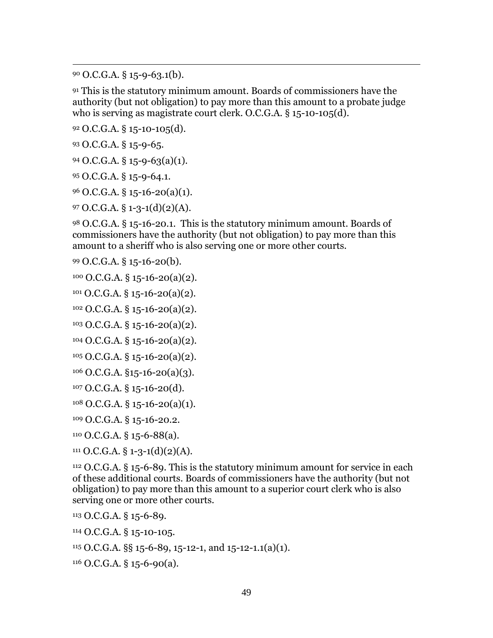O.C.G.A. § 15-9-63.1(b).

 $\overline{a}$ 

 This is the statutory minimum amount. Boards of commissioners have the authority (but not obligation) to pay more than this amount to a probate judge who is serving as magistrate court clerk. O.C.G.A. § 15-10-105(d).

O.C.G.A. § 15-10-105(d).

O.C.G.A. § 15-9-65.

 $94 \text{ O.C.G.A.}$  § 15-9-63(a)(1).

O.C.G.A. § 15-9-64.1.

O.C.G.A. § 15-16-20(a)(1).

97 O.C.G.A.  $\S$  1-3-1(d)(2)(A).

 O.C.G.A. § 15-16-20.1. This is the statutory minimum amount. Boards of commissioners have the authority (but not obligation) to pay more than this amount to a sheriff who is also serving one or more other courts.

O.C.G.A. § 15-16-20(b).

$$
^{100} O.C.G.A. \S 15-16-20(a)(2).
$$

 $101 \text{ O.C.G.A. }$ § 15-16-20(a)(2).

O.C.G.A. § 15-16-20(a)(2).

O.C.G.A. § 15-16-20(a)(2).

 $104 \text{ O.C.G.A. } $15 - 16 - 20(a)(2)$ .

```
105 O.C.G.A. § 15-16-20(a)(2).
```

```
106 O.C.G.A. §15-16-20(a)(3).
```
O.C.G.A. § 15-16-20(d).

O.C.G.A. § 15-16-20(a)(1).

O.C.G.A. § 15-16-20.2.

O.C.G.A. § 15-6-88(a).

O.C.G.A. § 1-3-1(d)(2)(A).

 O.C.G.A. § 15-6-89. This is the statutory minimum amount for service in each of these additional courts. Boards of commissioners have the authority (but not obligation) to pay more than this amount to a superior court clerk who is also serving one or more other courts.

O.C.G.A. § 15-6-89.

O.C.G.A. § 15-10-105.

O.C.G.A. §§ 15-6-89, 15-12-1, and 15-12-1.1(a)(1).

O.C.G.A. § 15-6-90(a).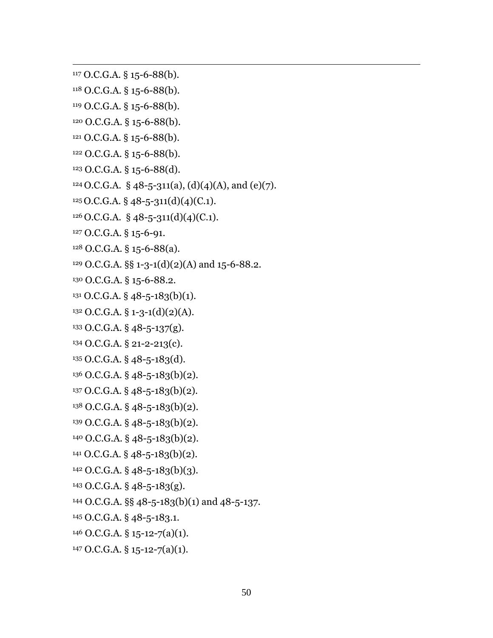O.C.G.A. § 15-6-88(b).

 $\overline{a}$ 

- O.C.G.A. § 15-6-88(b).
- O.C.G.A. § 15-6-88(b).
- O.C.G.A. § 15-6-88(b).
- O.C.G.A. § 15-6-88(b).
- O.C.G.A. § 15-6-88(b).
- O.C.G.A. § 15-6-88(d).
- <sup>124</sup> O.C.G.A. § 48-5-311(a), (d)(4)(A), and (e)(7).
- O.C.G.A. § 48-5-311(d)(4)(C.1).
- O.C.G.A. § 48-5-311(d)(4)(C.1).
- O.C.G.A. § 15-6-91.
- O.C.G.A. § 15-6-88(a).
- <sup>129</sup> O.C.G.A. §§ 1-3-1(d)(2)(A) and 15-6-88.2.
- O.C.G.A. § 15-6-88.2.
- O.C.G.A. § 48-5-183(b)(1).
- O.C.G.A. § 1-3-1(d)(2)(A).
- O.C.G.A. § 48-5-137(g).
- O.C.G.A. § 21-2-213(c).
- O.C.G.A. § 48-5-183(d).
- O.C.G.A. § 48-5-183(b)(2).
- O.C.G.A. § 48-5-183(b)(2).
- O.C.G.A. § 48-5-183(b)(2).
- O.C.G.A. § 48-5-183(b)(2).
- O.C.G.A. § 48-5-183(b)(2).
- O.C.G.A. § 48-5-183(b)(2).
- O.C.G.A. § 48-5-183(b)(3).
- O.C.G.A. § 48-5-183(g).
- O.C.G.A. §§ 48-5-183(b)(1) and 48-5-137.
- O.C.G.A. § 48-5-183.1.
- O.C.G.A. § 15-12-7(a)(1).
- $147 \text{ O.C.G.A. } $15-12-7(a)(1).$